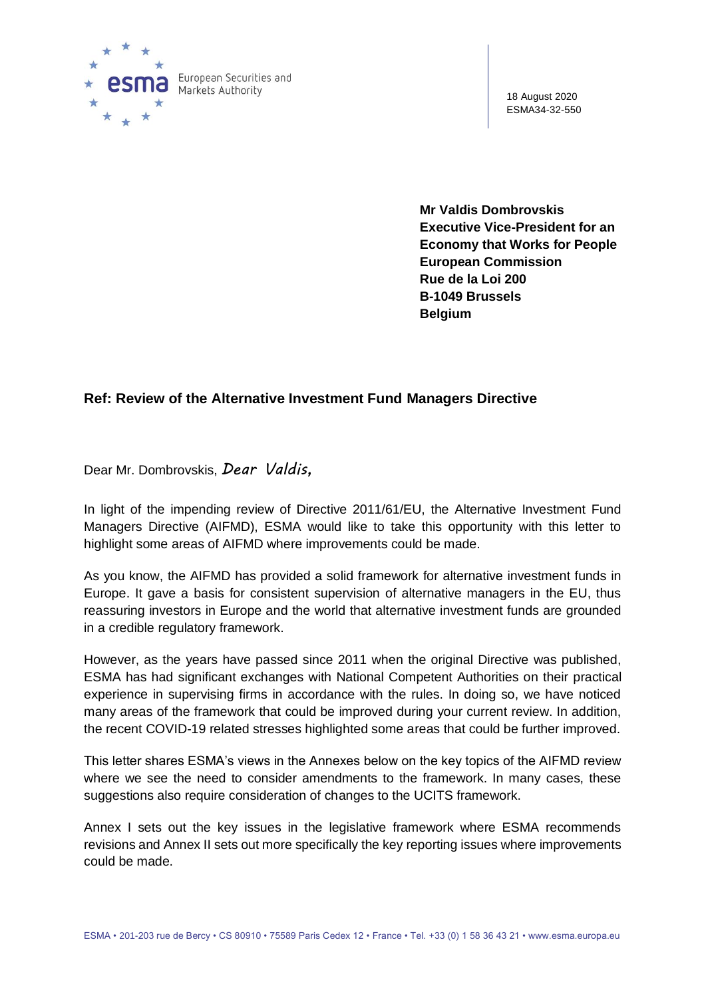

18 August 2020 ESMA34-32-550

**Mr Valdis Dombrovskis Executive Vice-President for an Economy that Works for People European Commission Rue de la Loi 200 B-1049 Brussels Belgium**

# **Ref: Review of the Alternative Investment Fund Managers Directive**

Dear Mr. Dombrovskis, *Dear Valdis,*

In light of the impending review of Directive 2011/61/EU, the Alternative Investment Fund Managers Directive (AIFMD), ESMA would like to take this opportunity with this letter to highlight some areas of AIFMD where improvements could be made.

As you know, the AIFMD has provided a solid framework for alternative investment funds in Europe. It gave a basis for consistent supervision of alternative managers in the EU, thus reassuring investors in Europe and the world that alternative investment funds are grounded in a credible regulatory framework.

However, as the years have passed since 2011 when the original Directive was published, ESMA has had significant exchanges with National Competent Authorities on their practical experience in supervising firms in accordance with the rules. In doing so, we have noticed many areas of the framework that could be improved during your current review. In addition, the recent COVID-19 related stresses highlighted some areas that could be further improved.

This letter shares ESMA's views in the Annexes below on the key topics of the AIFMD review where we see the need to consider amendments to the framework. In many cases, these suggestions also require consideration of changes to the UCITS framework.

Annex I sets out the key issues in the legislative framework where ESMA recommends revisions and Annex II sets out more specifically the key reporting issues where improvements could be made.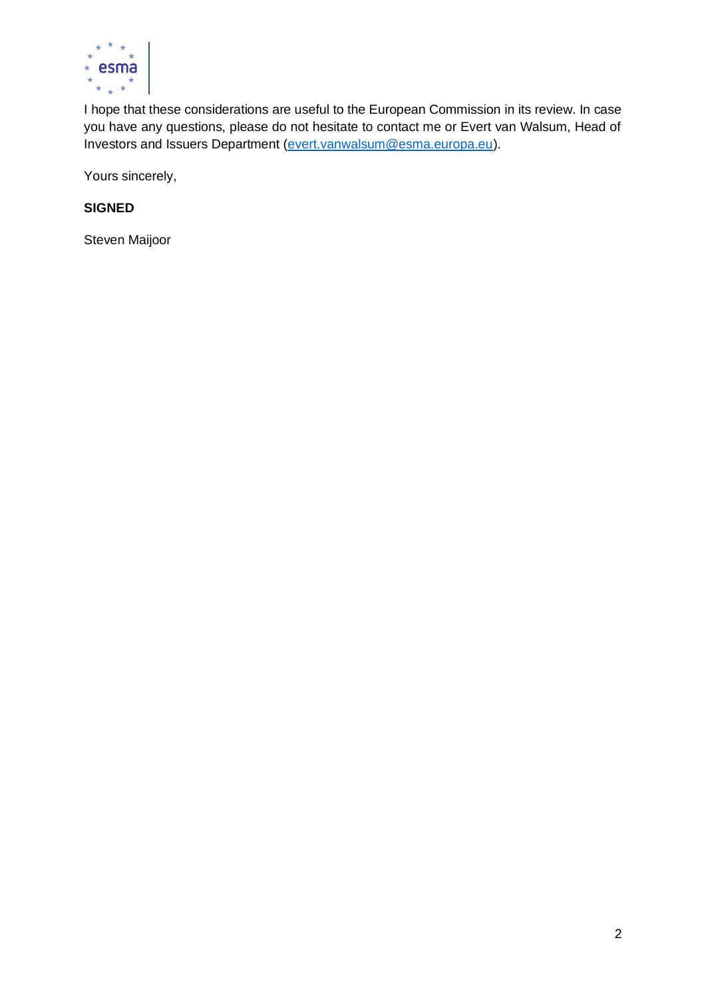

I hope that these considerations are useful to the European Commission in its review. In case you have any questions, please do not hesitate to contact me or Evert van Walsum, Head of Investors and Issuers Department [\(evert.vanwalsum@esma.europa.eu\)](mailto:evert.vanwalsum@esma.europa.eu).

Yours sincerely,

# **SIGNED**

Steven Maijoor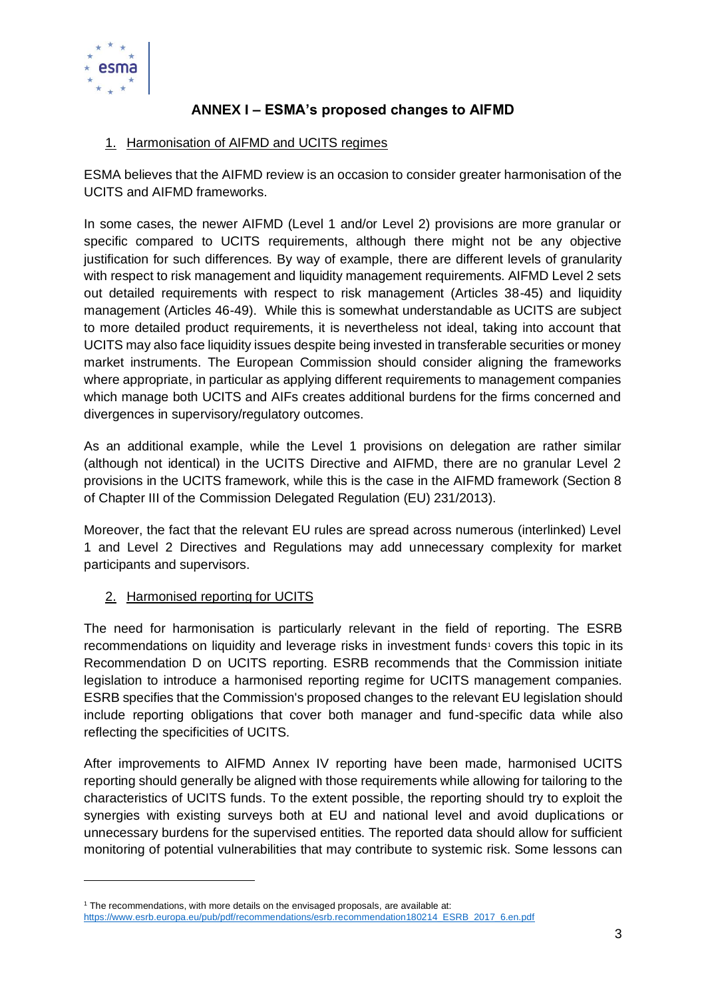

# **ANNEX I – ESMA's proposed changes to AIFMD**

# 1. Harmonisation of AIFMD and UCITS regimes

ESMA believes that the AIFMD review is an occasion to consider greater harmonisation of the UCITS and AIFMD frameworks.

In some cases, the newer AIFMD (Level 1 and/or Level 2) provisions are more granular or specific compared to UCITS requirements, although there might not be any objective justification for such differences. By way of example, there are different levels of granularity with respect to risk management and liquidity management requirements. AIFMD Level 2 sets out detailed requirements with respect to risk management (Articles 38-45) and liquidity management (Articles 46-49). While this is somewhat understandable as UCITS are subject to more detailed product requirements, it is nevertheless not ideal, taking into account that UCITS may also face liquidity issues despite being invested in transferable securities or money market instruments. The European Commission should consider aligning the frameworks where appropriate, in particular as applying different requirements to management companies which manage both UCITS and AIFs creates additional burdens for the firms concerned and divergences in supervisory/regulatory outcomes.

As an additional example, while the Level 1 provisions on delegation are rather similar (although not identical) in the UCITS Directive and AIFMD, there are no granular Level 2 provisions in the UCITS framework, while this is the case in the AIFMD framework (Section 8 of Chapter III of the Commission Delegated Regulation (EU) 231/2013).

Moreover, the fact that the relevant EU rules are spread across numerous (interlinked) Level 1 and Level 2 Directives and Regulations may add unnecessary complexity for market participants and supervisors.

# 2. Harmonised reporting for UCITS

The need for harmonisation is particularly relevant in the field of reporting. The ESRB recommendations on liquidity and leverage risks in investment funds<sup>1</sup> covers this topic in its Recommendation D on UCITS reporting. ESRB recommends that the Commission initiate legislation to introduce a harmonised reporting regime for UCITS management companies. ESRB specifies that the Commission's proposed changes to the relevant EU legislation should include reporting obligations that cover both manager and fund-specific data while also reflecting the specificities of UCITS.

After improvements to AIFMD Annex IV reporting have been made, harmonised UCITS reporting should generally be aligned with those requirements while allowing for tailoring to the characteristics of UCITS funds. To the extent possible, the reporting should try to exploit the synergies with existing surveys both at EU and national level and avoid duplications or unnecessary burdens for the supervised entities. The reported data should allow for sufficient monitoring of potential vulnerabilities that may contribute to systemic risk. Some lessons can

 $<sup>1</sup>$  The recommendations, with more details on the envisaged proposals, are available at:</sup> [https://www.esrb.europa.eu/pub/pdf/recommendations/esrb.recommendation180214\\_ESRB\\_2017\\_6.en.pdf](https://www.esrb.europa.eu/pub/pdf/recommendations/esrb.recommendation180214_ESRB_2017_6.en.pdf)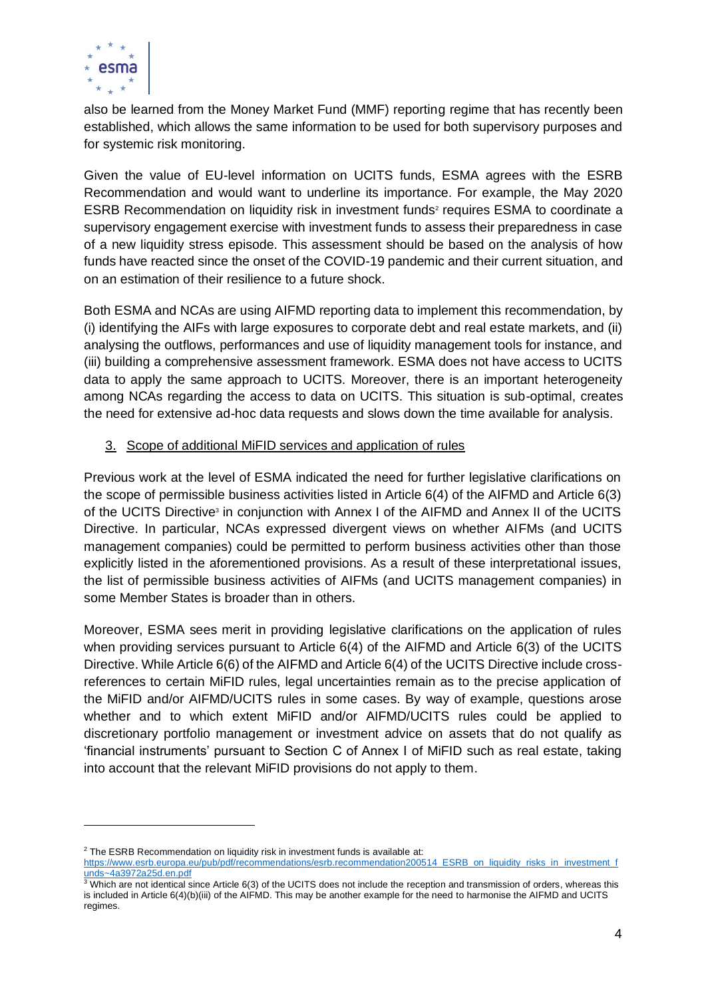

also be learned from the Money Market Fund (MMF) reporting regime that has recently been established, which allows the same information to be used for both supervisory purposes and for systemic risk monitoring.

Given the value of EU-level information on UCITS funds, ESMA agrees with the ESRB Recommendation and would want to underline its importance. For example, the May 2020 ESRB Recommendation on liquidity risk in investment funds<sup>2</sup> requires ESMA to coordinate a supervisory engagement exercise with investment funds to assess their preparedness in case of a new liquidity stress episode. This assessment should be based on the analysis of how funds have reacted since the onset of the COVID-19 pandemic and their current situation, and on an estimation of their resilience to a future shock.

Both ESMA and NCAs are using AIFMD reporting data to implement this recommendation, by (i) identifying the AIFs with large exposures to corporate debt and real estate markets, and (ii) analysing the outflows, performances and use of liquidity management tools for instance, and (iii) building a comprehensive assessment framework. ESMA does not have access to UCITS data to apply the same approach to UCITS. Moreover, there is an important heterogeneity among NCAs regarding the access to data on UCITS. This situation is sub-optimal, creates the need for extensive ad-hoc data requests and slows down the time available for analysis.

# 3. Scope of additional MiFID services and application of rules

Previous work at the level of ESMA indicated the need for further legislative clarifications on the scope of permissible business activities listed in Article 6(4) of the AIFMD and Article 6(3) of the UCITS Directive<sup>3</sup> in conjunction with Annex I of the AIFMD and Annex II of the UCITS Directive. In particular, NCAs expressed divergent views on whether AIFMs (and UCITS management companies) could be permitted to perform business activities other than those explicitly listed in the aforementioned provisions. As a result of these interpretational issues, the list of permissible business activities of AIFMs (and UCITS management companies) in some Member States is broader than in others.

Moreover, ESMA sees merit in providing legislative clarifications on the application of rules when providing services pursuant to Article 6(4) of the AIFMD and Article 6(3) of the UCITS Directive. While Article 6(6) of the AIFMD and Article 6(4) of the UCITS Directive include crossreferences to certain MiFID rules, legal uncertainties remain as to the precise application of the MiFID and/or AIFMD/UCITS rules in some cases. By way of example, questions arose whether and to which extent MiFID and/or AIFMD/UCITS rules could be applied to discretionary portfolio management or investment advice on assets that do not qualify as 'financial instruments' pursuant to Section C of Annex I of MiFID such as real estate, taking into account that the relevant MiFID provisions do not apply to them.

 $2$  The ESRB Recommendation on liquidity risk in investment funds is available at: [https://www.esrb.europa.eu/pub/pdf/recommendations/esrb.recommendation200514\\_ESRB\\_on\\_liquidity\\_risks\\_in\\_investment\\_f](https://www.esrb.europa.eu/pub/pdf/recommendations/esrb.recommendation200514_ESRB_on_liquidity_risks_in_investment_funds~4a3972a25d.en.pdf) [unds~4a3972a25d.en.pdf](https://www.esrb.europa.eu/pub/pdf/recommendations/esrb.recommendation200514_ESRB_on_liquidity_risks_in_investment_funds~4a3972a25d.en.pdf)

 $3$  Which are not identical since Article 6(3) of the UCITS does not include the reception and transmission of orders, whereas this is included in Article 6(4)(b)(iii) of the AIFMD. This may be another example for the need to harmonise the AIFMD and UCITS regimes.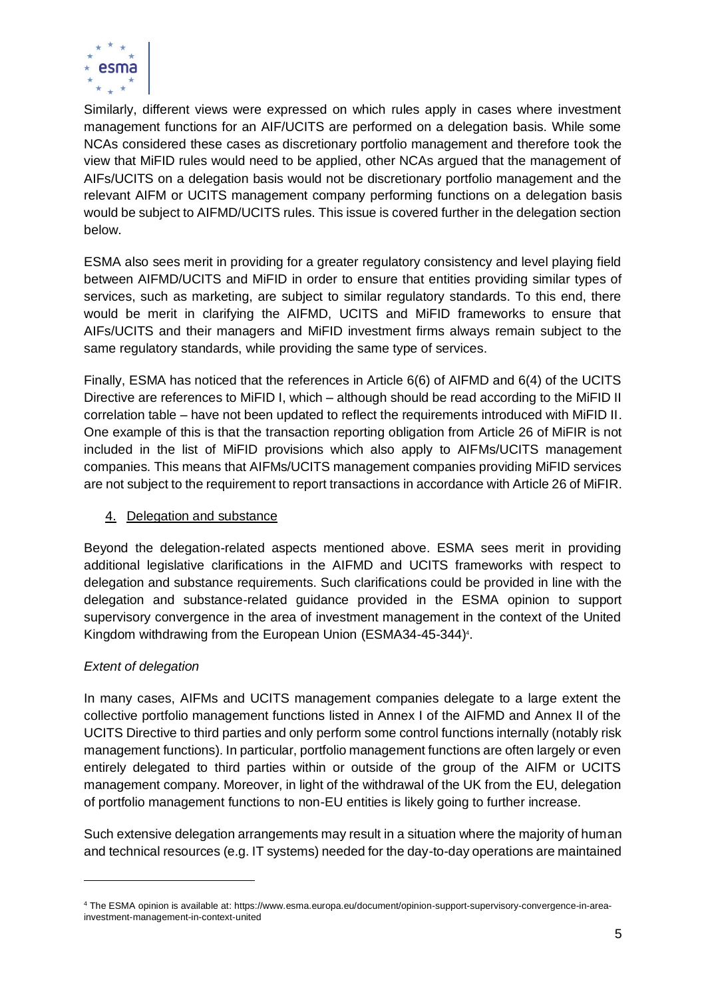

Similarly, different views were expressed on which rules apply in cases where investment management functions for an AIF/UCITS are performed on a delegation basis. While some NCAs considered these cases as discretionary portfolio management and therefore took the view that MiFID rules would need to be applied, other NCAs argued that the management of AIFs/UCITS on a delegation basis would not be discretionary portfolio management and the relevant AIFM or UCITS management company performing functions on a delegation basis would be subject to AIFMD/UCITS rules. This issue is covered further in the delegation section below.

ESMA also sees merit in providing for a greater regulatory consistency and level playing field between AIFMD/UCITS and MiFID in order to ensure that entities providing similar types of services, such as marketing, are subject to similar regulatory standards. To this end, there would be merit in clarifying the AIFMD, UCITS and MiFID frameworks to ensure that AIFs/UCITS and their managers and MiFID investment firms always remain subject to the same regulatory standards, while providing the same type of services.

Finally, ESMA has noticed that the references in Article 6(6) of AIFMD and 6(4) of the UCITS Directive are references to MiFID I, which – although should be read according to the MiFID II correlation table – have not been updated to reflect the requirements introduced with MiFID II. One example of this is that the transaction reporting obligation from Article 26 of MiFIR is not included in the list of MiFID provisions which also apply to AIFMs/UCITS management companies. This means that AIFMs/UCITS management companies providing MiFID services are not subject to the requirement to report transactions in accordance with Article 26 of MiFIR.

# 4. Delegation and substance

Beyond the delegation-related aspects mentioned above. ESMA sees merit in providing additional legislative clarifications in the AIFMD and UCITS frameworks with respect to delegation and substance requirements. Such clarifications could be provided in line with the delegation and substance-related guidance provided in the ESMA opinion to support supervisory convergence in the area of investment management in the context of the United Kingdom withdrawing from the European Union (ESMA34-45-344) 4 .

# *Extent of delegation*

In many cases, AIFMs and UCITS management companies delegate to a large extent the collective portfolio management functions listed in Annex I of the AIFMD and Annex II of the UCITS Directive to third parties and only perform some control functions internally (notably risk management functions). In particular, portfolio management functions are often largely or even entirely delegated to third parties within or outside of the group of the AIFM or UCITS management company. Moreover, in light of the withdrawal of the UK from the EU, delegation of portfolio management functions to non-EU entities is likely going to further increase.

Such extensive delegation arrangements may result in a situation where the majority of human and technical resources (e.g. IT systems) needed for the day-to-day operations are maintained

<sup>4</sup> The ESMA opinion is available at: https://www.esma.europa.eu/document/opinion-support-supervisory-convergence-in-areainvestment-management-in-context-united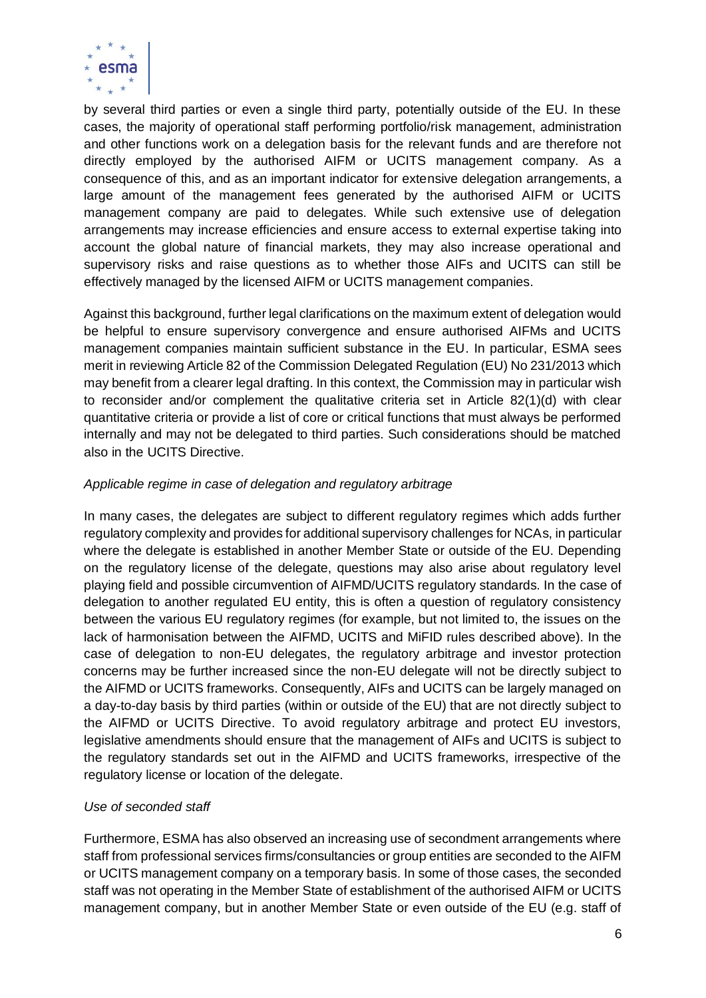

by several third parties or even a single third party, potentially outside of the EU. In these cases, the majority of operational staff performing portfolio/risk management, administration and other functions work on a delegation basis for the relevant funds and are therefore not directly employed by the authorised AIFM or UCITS management company. As a consequence of this, and as an important indicator for extensive delegation arrangements, a large amount of the management fees generated by the authorised AIFM or UCITS management company are paid to delegates. While such extensive use of delegation arrangements may increase efficiencies and ensure access to external expertise taking into account the global nature of financial markets, they may also increase operational and supervisory risks and raise questions as to whether those AIFs and UCITS can still be effectively managed by the licensed AIFM or UCITS management companies.

Against this background, further legal clarifications on the maximum extent of delegation would be helpful to ensure supervisory convergence and ensure authorised AIFMs and UCITS management companies maintain sufficient substance in the EU. In particular, ESMA sees merit in reviewing Article 82 of the Commission Delegated Regulation (EU) No 231/2013 which may benefit from a clearer legal drafting. In this context, the Commission may in particular wish to reconsider and/or complement the qualitative criteria set in Article 82(1)(d) with clear quantitative criteria or provide a list of core or critical functions that must always be performed internally and may not be delegated to third parties. Such considerations should be matched also in the UCITS Directive.

# *Applicable regime in case of delegation and regulatory arbitrage*

In many cases, the delegates are subject to different regulatory regimes which adds further regulatory complexity and provides for additional supervisory challenges for NCAs, in particular where the delegate is established in another Member State or outside of the EU. Depending on the regulatory license of the delegate, questions may also arise about regulatory level playing field and possible circumvention of AIFMD/UCITS regulatory standards. In the case of delegation to another regulated EU entity, this is often a question of regulatory consistency between the various EU regulatory regimes (for example, but not limited to, the issues on the lack of harmonisation between the AIFMD, UCITS and MiFID rules described above). In the case of delegation to non-EU delegates, the regulatory arbitrage and investor protection concerns may be further increased since the non-EU delegate will not be directly subject to the AIFMD or UCITS frameworks. Consequently, AIFs and UCITS can be largely managed on a day-to-day basis by third parties (within or outside of the EU) that are not directly subject to the AIFMD or UCITS Directive. To avoid regulatory arbitrage and protect EU investors, legislative amendments should ensure that the management of AIFs and UCITS is subject to the regulatory standards set out in the AIFMD and UCITS frameworks, irrespective of the regulatory license or location of the delegate.

# *Use of seconded staff*

Furthermore, ESMA has also observed an increasing use of secondment arrangements where staff from professional services firms/consultancies or group entities are seconded to the AIFM or UCITS management company on a temporary basis. In some of those cases, the seconded staff was not operating in the Member State of establishment of the authorised AIFM or UCITS management company, but in another Member State or even outside of the EU (e.g. staff of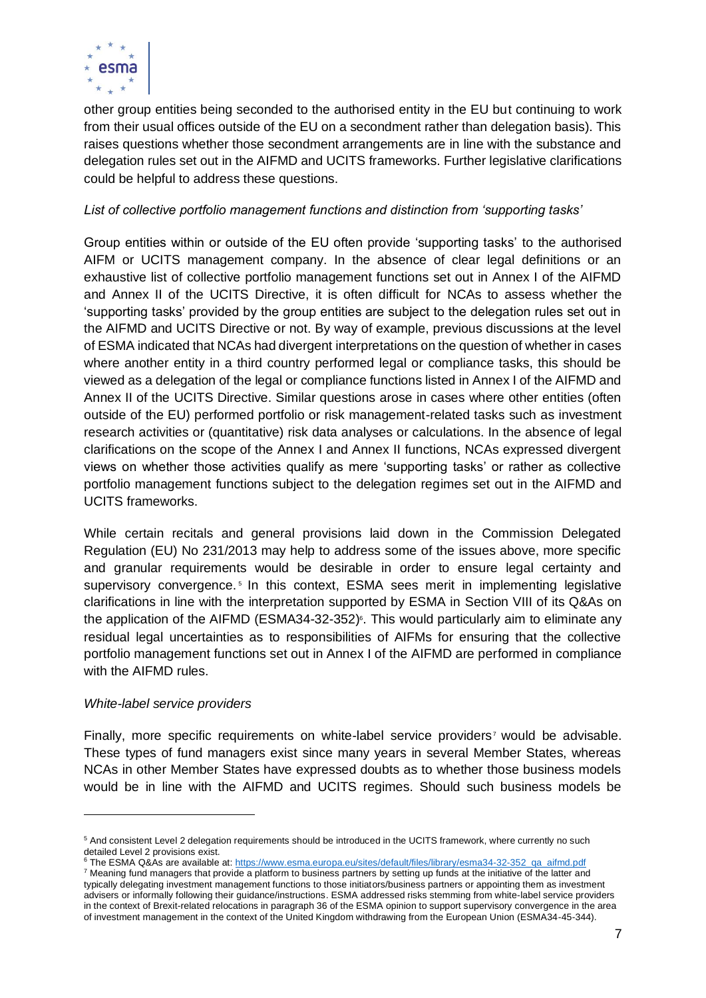

other group entities being seconded to the authorised entity in the EU but continuing to work from their usual offices outside of the EU on a secondment rather than delegation basis). This raises questions whether those secondment arrangements are in line with the substance and delegation rules set out in the AIFMD and UCITS frameworks. Further legislative clarifications could be helpful to address these questions.

# *List of collective portfolio management functions and distinction from 'supporting tasks'*

Group entities within or outside of the EU often provide 'supporting tasks' to the authorised AIFM or UCITS management company. In the absence of clear legal definitions or an exhaustive list of collective portfolio management functions set out in Annex I of the AIFMD and Annex II of the UCITS Directive, it is often difficult for NCAs to assess whether the 'supporting tasks' provided by the group entities are subject to the delegation rules set out in the AIFMD and UCITS Directive or not. By way of example, previous discussions at the level of ESMA indicated that NCAs had divergent interpretations on the question of whether in cases where another entity in a third country performed legal or compliance tasks, this should be viewed as a delegation of the legal or compliance functions listed in Annex I of the AIFMD and Annex II of the UCITS Directive. Similar questions arose in cases where other entities (often outside of the EU) performed portfolio or risk management-related tasks such as investment research activities or (quantitative) risk data analyses or calculations. In the absence of legal clarifications on the scope of the Annex I and Annex II functions, NCAs expressed divergent views on whether those activities qualify as mere 'supporting tasks' or rather as collective portfolio management functions subject to the delegation regimes set out in the AIFMD and UCITS frameworks.

While certain recitals and general provisions laid down in the Commission Delegated Regulation (EU) No 231/2013 may help to address some of the issues above, more specific and granular requirements would be desirable in order to ensure legal certainty and supervisory convergence.<sup>5</sup> In this context, ESMA sees merit in implementing legislative clarifications in line with the interpretation supported by ESMA in Section VIII of its Q&As on the application of the AIFMD (ESMA34-32-352) 6 . This would particularly aim to eliminate any residual legal uncertainties as to responsibilities of AIFMs for ensuring that the collective portfolio management functions set out in Annex I of the AIFMD are performed in compliance with the AIFMD rules.

### *White-label service providers*

Finally, more specific requirements on white-label service providers<sup>7</sup> would be advisable. These types of fund managers exist since many years in several Member States, whereas NCAs in other Member States have expressed doubts as to whether those business models would be in line with the AIFMD and UCITS regimes. Should such business models be

<sup>5</sup> And consistent Level 2 delegation requirements should be introduced in the UCITS framework, where currently no such detailed Level 2 provisions exist.

<sup>&</sup>lt;sup>6</sup> The ESMA Q&As are available at: [https://www.esma.europa.eu/sites/default/files/library/esma34-32-352\\_qa\\_aifmd.pdf](https://www.esma.europa.eu/sites/default/files/library/esma34-32-352_qa_aifmd.pdf)

<sup>&</sup>lt;sup>7</sup> Meaning fund managers that provide a platform to business partners by setting up funds at the initiative of the latter and typically delegating investment management functions to those initiators/business partners or appointing them as investment advisers or informally following their guidance/instructions. ESMA addressed risks stemming from white-label service providers in the context of Brexit-related relocations in paragraph 36 of the ESMA opinion to support supervisory convergence in the area of investment management in the context of the United Kingdom withdrawing from the European Union (ESMA34-45-344).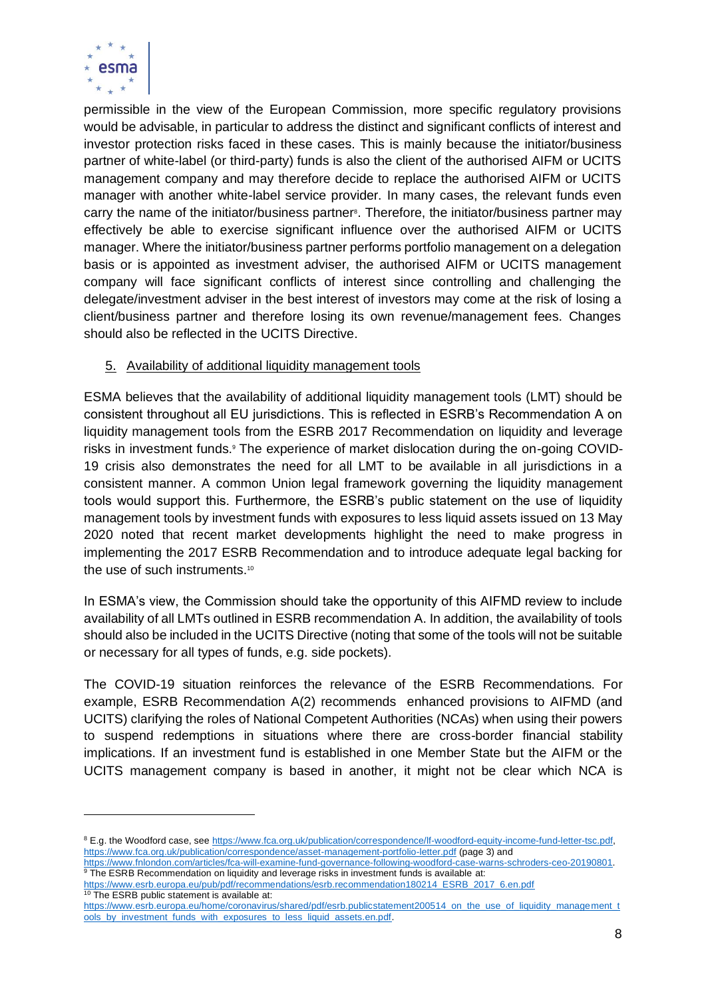

permissible in the view of the European Commission, more specific regulatory provisions would be advisable, in particular to address the distinct and significant conflicts of interest and investor protection risks faced in these cases. This is mainly because the initiator/business partner of white-label (or third-party) funds is also the client of the authorised AIFM or UCITS management company and may therefore decide to replace the authorised AIFM or UCITS manager with another white-label service provider. In many cases, the relevant funds even carry the name of the initiator/business partner<sup>®</sup>. Therefore, the initiator/business partner may effectively be able to exercise significant influence over the authorised AIFM or UCITS manager. Where the initiator/business partner performs portfolio management on a delegation basis or is appointed as investment adviser, the authorised AIFM or UCITS management company will face significant conflicts of interest since controlling and challenging the delegate/investment adviser in the best interest of investors may come at the risk of losing a client/business partner and therefore losing its own revenue/management fees. Changes should also be reflected in the UCITS Directive.

# 5. Availability of additional liquidity management tools

ESMA believes that the availability of additional liquidity management tools (LMT) should be consistent throughout all EU jurisdictions. This is reflected in ESRB's Recommendation A on liquidity management tools from the ESRB 2017 Recommendation on liquidity and leverage risks in investment funds.<sup>9</sup> The experience of market dislocation during the on-going COVID-19 crisis also demonstrates the need for all LMT to be available in all jurisdictions in a consistent manner. A common Union legal framework governing the liquidity management tools would support this. Furthermore, the ESRB's public statement on the use of liquidity management tools by investment funds with exposures to less liquid assets issued on 13 May 2020 noted that recent market developments highlight the need to make progress in implementing the 2017 ESRB Recommendation and to introduce adequate legal backing for the use of such instruments.<sup>10</sup>

In ESMA's view, the Commission should take the opportunity of this AIFMD review to include availability of all LMTs outlined in ESRB recommendation A. In addition, the availability of tools should also be included in the UCITS Directive (noting that some of the tools will not be suitable or necessary for all types of funds, e.g. side pockets).

The COVID-19 situation reinforces the relevance of the ESRB Recommendations. For example, ESRB Recommendation A(2) recommends enhanced provisions to AIFMD (and UCITS) clarifying the roles of National Competent Authorities (NCAs) when using their powers to suspend redemptions in situations where there are cross-border financial stability implications. If an investment fund is established in one Member State but the AIFM or the UCITS management company is based in another, it might not be clear which NCA is

<sup>8</sup> E.g. the Woodford case, see [https://www.fca.org.uk/publication/correspondence/lf-woodford-equity-income-fund-letter-tsc.pdf,](https://www.fca.org.uk/publication/correspondence/lf-woodford-equity-income-fund-letter-tsc.pdf) <https://www.fca.org.uk/publication/correspondence/asset-management-portfolio-letter.pdf> (page 3) and

[https://www.fnlondon.com/articles/fca-will-examine-fund-governance-following-woodford-case-warns-schroders-ceo-20190801.](https://www.fnlondon.com/articles/fca-will-examine-fund-governance-following-woodford-case-warns-schroders-ceo-20190801) <sup>9</sup> The ESRB Recommendation on liquidity and leverage risks in investment funds is available at:

[https://www.esrb.europa.eu/pub/pdf/recommendations/esrb.recommendation180214\\_ESRB\\_2017\\_6.en.pdf](https://www.esrb.europa.eu/pub/pdf/recommendations/esrb.recommendation180214_ESRB_2017_6.en.pdf) <sup>10</sup> The ESRB public statement is available at:

[https://www.esrb.europa.eu/home/coronavirus/shared/pdf/esrb.publicstatement200514\\_on\\_the\\_use\\_of\\_liquidity\\_management\\_t](https://www.esrb.europa.eu/home/coronavirus/shared/pdf/esrb.publicstatement200514_on_the_use_of_liquidity_management_tools_by_investment_funds_with_exposures_to_less_liquid_assets.en.pdf) ools\_by\_investment\_funds\_with\_exposures\_to\_less\_liquid\_assets.en.pdf.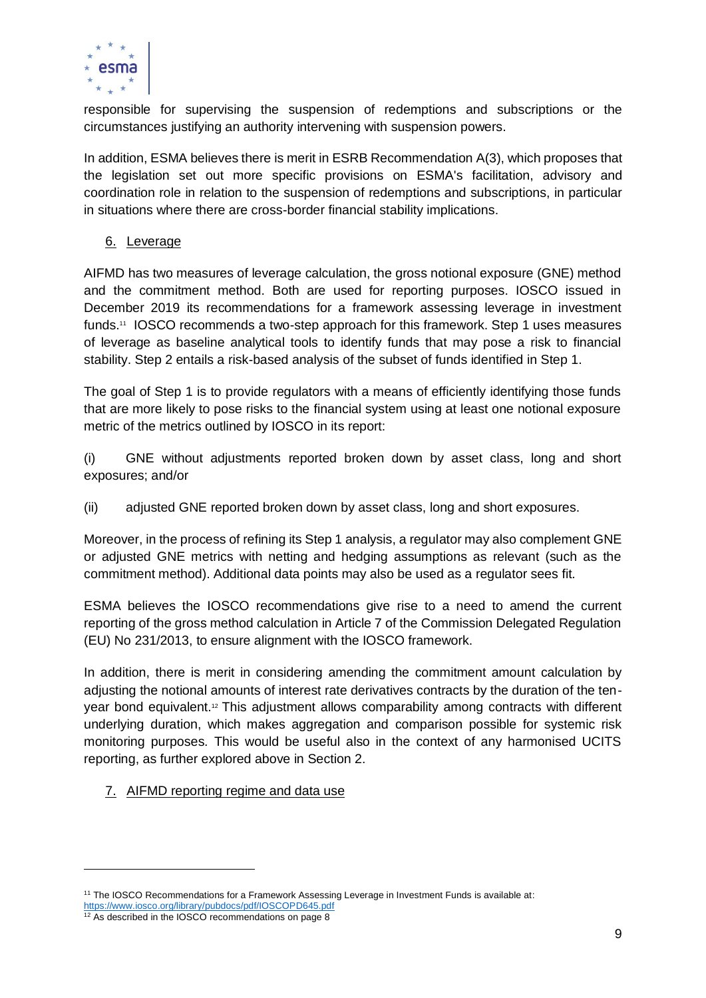

responsible for supervising the suspension of redemptions and subscriptions or the circumstances justifying an authority intervening with suspension powers.

In addition, ESMA believes there is merit in ESRB Recommendation A(3), which proposes that the legislation set out more specific provisions on ESMA's facilitation, advisory and coordination role in relation to the suspension of redemptions and subscriptions, in particular in situations where there are cross-border financial stability implications.

6. Leverage

AIFMD has two measures of leverage calculation, the gross notional exposure (GNE) method and the commitment method. Both are used for reporting purposes. IOSCO issued in December 2019 its recommendations for a framework assessing leverage in investment funds.<sup>11</sup> IOSCO recommends a two-step approach for this framework. Step 1 uses measures of leverage as baseline analytical tools to identify funds that may pose a risk to financial stability. Step 2 entails a risk-based analysis of the subset of funds identified in Step 1.

The goal of Step 1 is to provide regulators with a means of efficiently identifying those funds that are more likely to pose risks to the financial system using at least one notional exposure metric of the metrics outlined by IOSCO in its report:

(i) GNE without adjustments reported broken down by asset class, long and short exposures; and/or

(ii) adjusted GNE reported broken down by asset class, long and short exposures.

Moreover, in the process of refining its Step 1 analysis, a regulator may also complement GNE or adjusted GNE metrics with netting and hedging assumptions as relevant (such as the commitment method). Additional data points may also be used as a regulator sees fit.

ESMA believes the IOSCO recommendations give rise to a need to amend the current reporting of the gross method calculation in Article 7 of the Commission Delegated Regulation (EU) No 231/2013, to ensure alignment with the IOSCO framework.

In addition, there is merit in considering amending the commitment amount calculation by adjusting the notional amounts of interest rate derivatives contracts by the duration of the tenyear bond equivalent.<sup>12</sup> This adjustment allows comparability among contracts with different underlying duration, which makes aggregation and comparison possible for systemic risk monitoring purposes. This would be useful also in the context of any harmonised UCITS reporting, as further explored above in Section 2.

7. AIFMD reporting regime and data use

<sup>11</sup> The IOSCO Recommendations for a Framework Assessing Leverage in Investment Funds is available at: <https://www.iosco.org/library/pubdocs/pdf/IOSCOPD645.pdf>

 $12$  As described in the IOSCO recommendations on page 8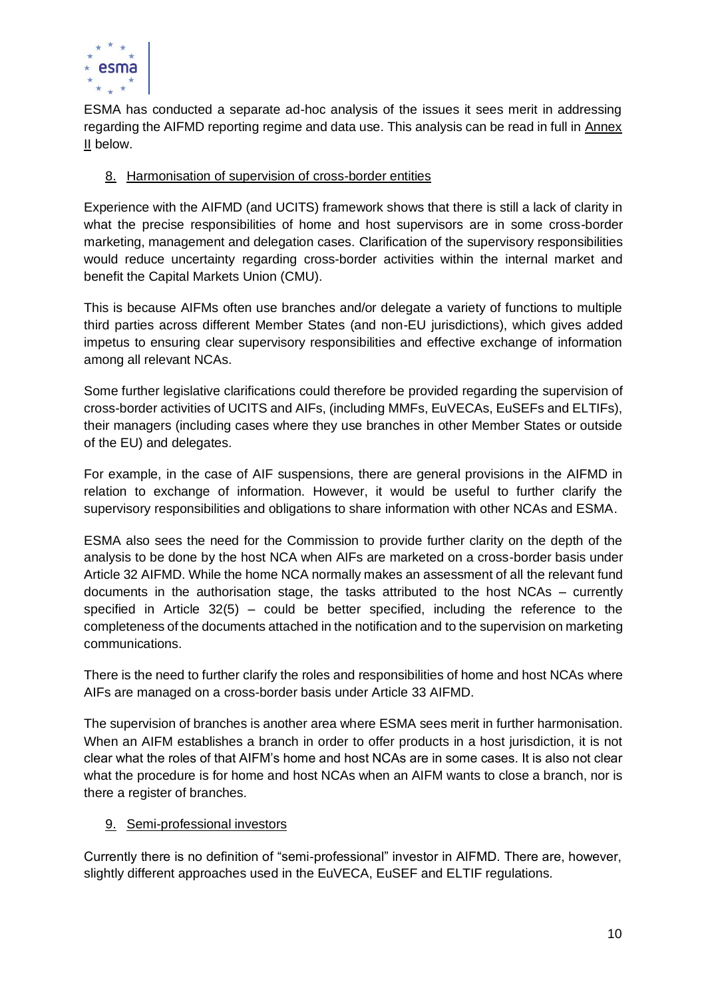

ESMA has conducted a separate ad-hoc analysis of the issues it sees merit in addressing regarding the AIFMD reporting regime and data use. This analysis can be read in full in Annex II below.

# 8. Harmonisation of supervision of cross-border entities

Experience with the AIFMD (and UCITS) framework shows that there is still a lack of clarity in what the precise responsibilities of home and host supervisors are in some cross-border marketing, management and delegation cases. Clarification of the supervisory responsibilities would reduce uncertainty regarding cross-border activities within the internal market and benefit the Capital Markets Union (CMU).

This is because AIFMs often use branches and/or delegate a variety of functions to multiple third parties across different Member States (and non-EU jurisdictions), which gives added impetus to ensuring clear supervisory responsibilities and effective exchange of information among all relevant NCAs.

Some further legislative clarifications could therefore be provided regarding the supervision of cross-border activities of UCITS and AIFs, (including MMFs, EuVECAs, EuSEFs and ELTIFs), their managers (including cases where they use branches in other Member States or outside of the EU) and delegates.

For example, in the case of AIF suspensions, there are general provisions in the AIFMD in relation to exchange of information. However, it would be useful to further clarify the supervisory responsibilities and obligations to share information with other NCAs and ESMA.

ESMA also sees the need for the Commission to provide further clarity on the depth of the analysis to be done by the host NCA when AIFs are marketed on a cross-border basis under Article 32 AIFMD. While the home NCA normally makes an assessment of all the relevant fund documents in the authorisation stage, the tasks attributed to the host NCAs – currently specified in Article 32(5) – could be better specified, including the reference to the completeness of the documents attached in the notification and to the supervision on marketing communications.

There is the need to further clarify the roles and responsibilities of home and host NCAs where AIFs are managed on a cross-border basis under Article 33 AIFMD.

The supervision of branches is another area where ESMA sees merit in further harmonisation. When an AIFM establishes a branch in order to offer products in a host jurisdiction, it is not clear what the roles of that AIFM's home and host NCAs are in some cases. It is also not clear what the procedure is for home and host NCAs when an AIFM wants to close a branch, nor is there a register of branches.

# 9. Semi-professional investors

Currently there is no definition of "semi-professional" investor in AIFMD. There are, however, slightly different approaches used in the EuVECA, EuSEF and ELTIF regulations.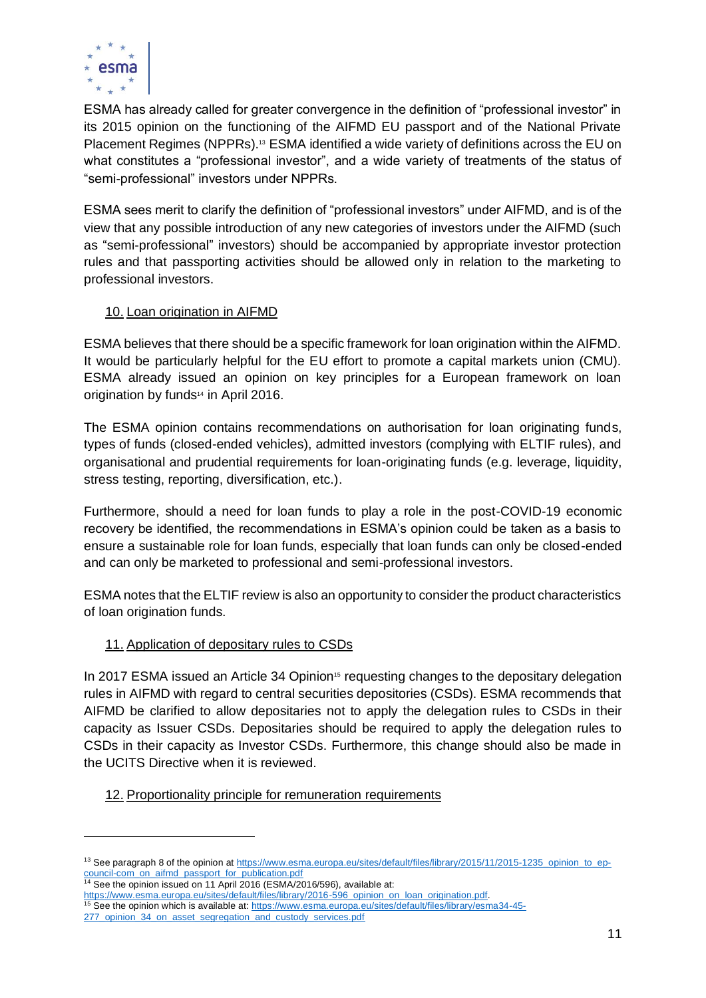

ESMA has already called for greater convergence in the definition of "professional investor" in its 2015 opinion on the functioning of the AIFMD EU passport and of the National Private Placement Regimes (NPPRs).<sup>13</sup> ESMA identified a wide variety of definitions across the EU on what constitutes a "professional investor", and a wide variety of treatments of the status of "semi-professional" investors under NPPRs.

ESMA sees merit to clarify the definition of "professional investors" under AIFMD, and is of the view that any possible introduction of any new categories of investors under the AIFMD (such as "semi-professional" investors) should be accompanied by appropriate investor protection rules and that passporting activities should be allowed only in relation to the marketing to professional investors.

# 10. Loan origination in AIFMD

ESMA believes that there should be a specific framework for loan origination within the AIFMD. It would be particularly helpful for the EU effort to promote a capital markets union (CMU). ESMA already issued an opinion on key principles for a European framework on loan origination by funds<sup>14</sup> in April 2016.

The ESMA opinion contains recommendations on authorisation for loan originating funds, types of funds (closed-ended vehicles), admitted investors (complying with ELTIF rules), and organisational and prudential requirements for loan-originating funds (e.g. leverage, liquidity, stress testing, reporting, diversification, etc.).

Furthermore, should a need for loan funds to play a role in the post-COVID-19 economic recovery be identified, the recommendations in ESMA's opinion could be taken as a basis to ensure a sustainable role for loan funds, especially that loan funds can only be closed-ended and can only be marketed to professional and semi-professional investors.

ESMA notes that the ELTIF review is also an opportunity to consider the product characteristics of loan origination funds.

# 11. Application of depositary rules to CSDs

In 2017 ESMA issued an Article 34 Opinion<sup>15</sup> requesting changes to the depositary delegation rules in AIFMD with regard to central securities depositories (CSDs). ESMA recommends that AIFMD be clarified to allow depositaries not to apply the delegation rules to CSDs in their capacity as Issuer CSDs. Depositaries should be required to apply the delegation rules to CSDs in their capacity as Investor CSDs. Furthermore, this change should also be made in the UCITS Directive when it is reviewed.

# 12. Proportionality principle for remuneration requirements

[https://www.esma.europa.eu/sites/default/files/library/2016-596\\_opinion\\_on\\_loan\\_origination.pdf.](https://www.esma.europa.eu/sites/default/files/library/2016-596_opinion_on_loan_origination.pdf) 

<sup>&</sup>lt;sup>13</sup> See paragraph 8 of the opinion a[t https://www.esma.europa.eu/sites/default/files/library/2015/11/2015-1235\\_opinion\\_to\\_ep](https://www.esma.europa.eu/sites/default/files/library/2015/11/2015-1235_opinion_to_ep-council-com_on_aifmd_passport_for_publication.pdf)[council-com\\_on\\_aifmd\\_passport\\_for\\_publication.pdf](https://www.esma.europa.eu/sites/default/files/library/2015/11/2015-1235_opinion_to_ep-council-com_on_aifmd_passport_for_publication.pdf)

<sup>&</sup>lt;sup>14</sup> See the opinion issued on 11 April 2016 (ESMA/2016/596), available at:

<sup>&</sup>lt;sup>15</sup> See the opinion which is available at: [https://www.esma.europa.eu/sites/default/files/library/esma34-45-](https://www.esma.europa.eu/sites/default/files/library/esma34-45-277_opinion_34_on_asset_segregation_and_custody_services.pdf)

<sup>277</sup> opinion 34 on asset segregation and custody services.pdf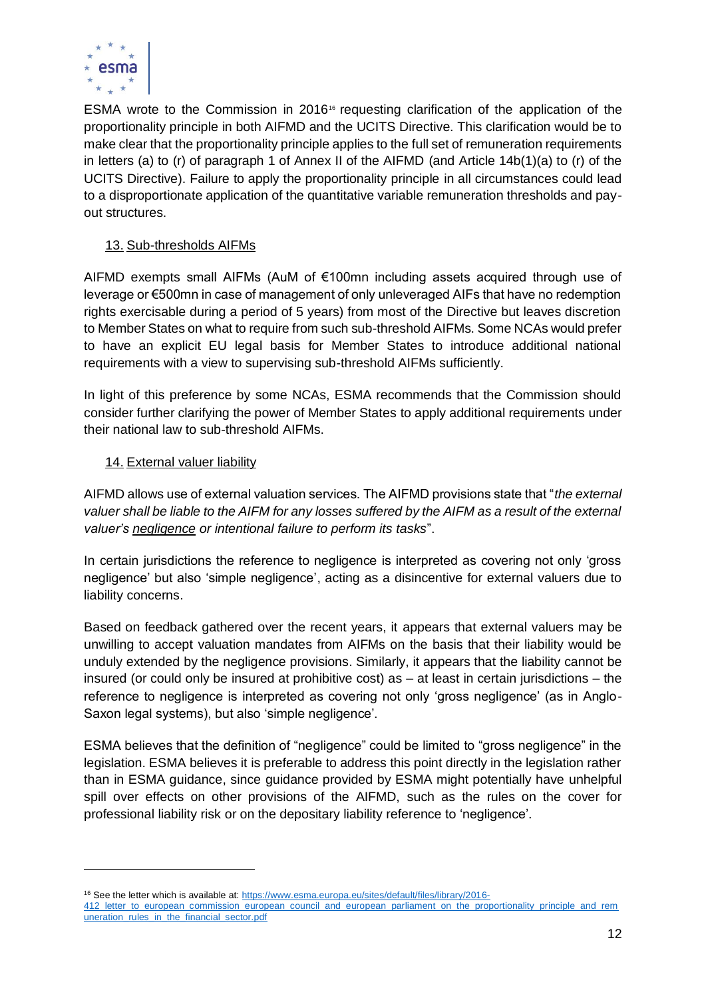

ESMA wrote to the Commission in 2016<sup>16</sup> requesting clarification of the application of the proportionality principle in both AIFMD and the UCITS Directive. This clarification would be to make clear that the proportionality principle applies to the full set of remuneration requirements in letters (a) to (r) of paragraph 1 of Annex II of the AIFMD (and Article 14b(1)(a) to (r) of the UCITS Directive). Failure to apply the proportionality principle in all circumstances could lead to a disproportionate application of the quantitative variable remuneration thresholds and payout structures.

# 13. Sub-thresholds AIFMs

AIFMD exempts small AIFMs (AuM of €100mn including assets acquired through use of leverage or €500mn in case of management of only unleveraged AIFs that have no redemption rights exercisable during a period of 5 years) from most of the Directive but leaves discretion to Member States on what to require from such sub-threshold AIFMs. Some NCAs would prefer to have an explicit EU legal basis for Member States to introduce additional national requirements with a view to supervising sub-threshold AIFMs sufficiently.

In light of this preference by some NCAs, ESMA recommends that the Commission should consider further clarifying the power of Member States to apply additional requirements under their national law to sub-threshold AIFMs.

### 14. External valuer liability

AIFMD allows use of external valuation services. The AIFMD provisions state that "*the external valuer shall be liable to the AIFM for any losses suffered by the AIFM as a result of the external valuer's negligence or intentional failure to perform its tasks*".

In certain jurisdictions the reference to negligence is interpreted as covering not only 'gross negligence' but also 'simple negligence', acting as a disincentive for external valuers due to liability concerns.

Based on feedback gathered over the recent years, it appears that external valuers may be unwilling to accept valuation mandates from AIFMs on the basis that their liability would be unduly extended by the negligence provisions. Similarly, it appears that the liability cannot be insured (or could only be insured at prohibitive cost) as – at least in certain jurisdictions – the reference to negligence is interpreted as covering not only 'gross negligence' (as in Anglo-Saxon legal systems), but also 'simple negligence'.

ESMA believes that the definition of "negligence" could be limited to "gross negligence" in the legislation. ESMA believes it is preferable to address this point directly in the legislation rather than in ESMA guidance, since guidance provided by ESMA might potentially have unhelpful spill over effects on other provisions of the AIFMD, such as the rules on the cover for professional liability risk or on the depositary liability reference to 'negligence'.

<sup>16</sup> See the letter which is available at: [https://www.esma.europa.eu/sites/default/files/library/2016-](https://www.esma.europa.eu/sites/default/files/library/2016-412_letter_to_european_commission_european_council_and_european_parliament_on_the_proportionality_principle_and_remuneration_rules_in_the_financial_sector.pdf)

<sup>412</sup> letter to european commission european council and european parliament on the proportionality principle and rem [uneration\\_rules\\_in\\_the\\_financial\\_sector.pdf](https://www.esma.europa.eu/sites/default/files/library/2016-412_letter_to_european_commission_european_council_and_european_parliament_on_the_proportionality_principle_and_remuneration_rules_in_the_financial_sector.pdf)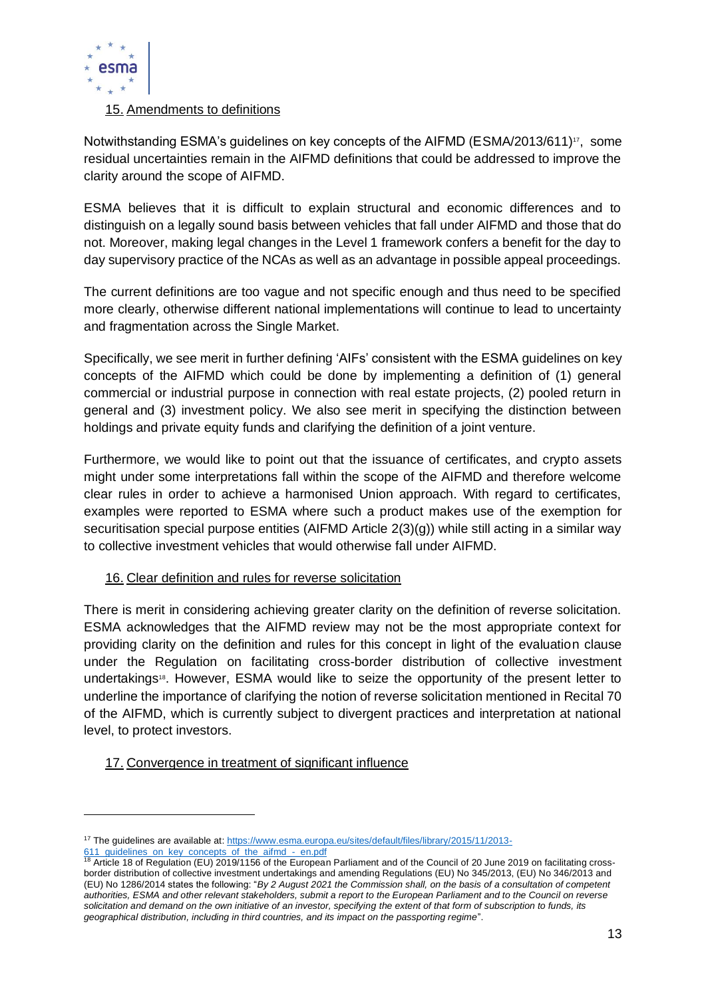

### 15. Amendments to definitions

Notwithstanding ESMA's quidelines on key concepts of the AIFMD (ESMA/2013/611) $^{17}$ , some residual uncertainties remain in the AIFMD definitions that could be addressed to improve the clarity around the scope of AIFMD.

ESMA believes that it is difficult to explain structural and economic differences and to distinguish on a legally sound basis between vehicles that fall under AIFMD and those that do not. Moreover, making legal changes in the Level 1 framework confers a benefit for the day to day supervisory practice of the NCAs as well as an advantage in possible appeal proceedings.

The current definitions are too vague and not specific enough and thus need to be specified more clearly, otherwise different national implementations will continue to lead to uncertainty and fragmentation across the Single Market.

Specifically, we see merit in further defining 'AIFs' consistent with the ESMA guidelines on key concepts of the AIFMD which could be done by implementing a definition of (1) general commercial or industrial purpose in connection with real estate projects, (2) pooled return in general and (3) investment policy. We also see merit in specifying the distinction between holdings and private equity funds and clarifying the definition of a joint venture.

Furthermore, we would like to point out that the issuance of certificates, and crypto assets might under some interpretations fall within the scope of the AIFMD and therefore welcome clear rules in order to achieve a harmonised Union approach. With regard to certificates, examples were reported to ESMA where such a product makes use of the exemption for securitisation special purpose entities (AIFMD Article 2(3)(g)) while still acting in a similar way to collective investment vehicles that would otherwise fall under AIFMD.

### 16. Clear definition and rules for reverse solicitation

There is merit in considering achieving greater clarity on the definition of reverse solicitation. ESMA acknowledges that the AIFMD review may not be the most appropriate context for providing clarity on the definition and rules for this concept in light of the evaluation clause under the Regulation on facilitating cross-border distribution of collective investment undertakings<sup>18</sup>. However, ESMA would like to seize the opportunity of the present letter to underline the importance of clarifying the notion of reverse solicitation mentioned in Recital 70 of the AIFMD, which is currently subject to divergent practices and interpretation at national level, to protect investors.

# 17. Convergence in treatment of significant influence

<sup>&</sup>lt;sup>17</sup> The guidelines are available at: [https://www.esma.europa.eu/sites/default/files/library/2015/11/2013-](https://www.esma.europa.eu/sites/default/files/library/2015/11/2013-611_guidelines_on_key_concepts_of_the_aifmd_-_en.pdf) 611 quidelines on key concepts of the aifmd - en.pdf

<sup>&</sup>lt;sup>18</sup> Article 18 of Regulation (EU) 2019/1156 of the European Parliament and of the Council of 20 June 2019 on facilitating crossborder distribution of collective investment undertakings and amending Regulations (EU) No 345/2013, (EU) No 346/2013 and (EU) No 1286/2014 states the following: "*By 2 August 2021 the Commission shall, on the basis of a consultation of competent authorities, ESMA and other relevant stakeholders, submit a report to the European Parliament and to the Council on reverse solicitation and demand on the own initiative of an investor, specifying the extent of that form of subscription to funds, its geographical distribution, including in third countries, and its impact on the passporting regime*".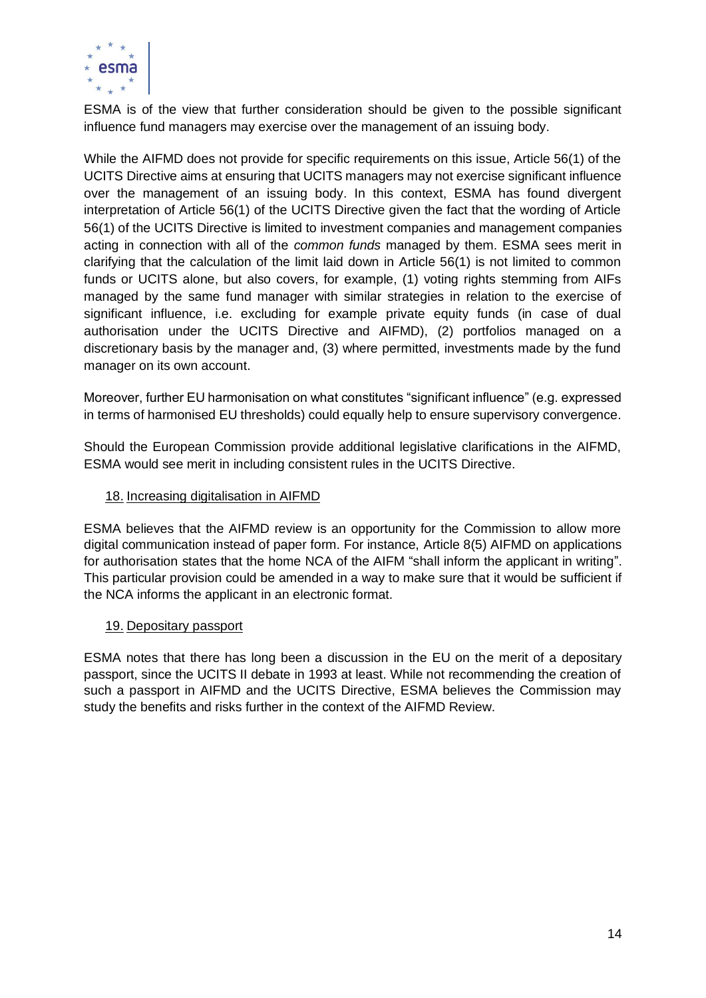

ESMA is of the view that further consideration should be given to the possible significant influence fund managers may exercise over the management of an issuing body.

While the AIFMD does not provide for specific requirements on this issue, Article 56(1) of the UCITS Directive aims at ensuring that UCITS managers may not exercise significant influence over the management of an issuing body. In this context, ESMA has found divergent interpretation of Article 56(1) of the UCITS Directive given the fact that the wording of Article 56(1) of the UCITS Directive is limited to investment companies and management companies acting in connection with all of the *common funds* managed by them. ESMA sees merit in clarifying that the calculation of the limit laid down in Article 56(1) is not limited to common funds or UCITS alone, but also covers, for example, (1) voting rights stemming from AIFs managed by the same fund manager with similar strategies in relation to the exercise of significant influence, i.e. excluding for example private equity funds (in case of dual authorisation under the UCITS Directive and AIFMD), (2) portfolios managed on a discretionary basis by the manager and, (3) where permitted, investments made by the fund manager on its own account.

Moreover, further EU harmonisation on what constitutes "significant influence" (e.g. expressed in terms of harmonised EU thresholds) could equally help to ensure supervisory convergence.

Should the European Commission provide additional legislative clarifications in the AIFMD, ESMA would see merit in including consistent rules in the UCITS Directive.

### 18. Increasing digitalisation in AIFMD

ESMA believes that the AIFMD review is an opportunity for the Commission to allow more digital communication instead of paper form. For instance, Article 8(5) AIFMD on applications for authorisation states that the home NCA of the AIFM "shall inform the applicant in writing". This particular provision could be amended in a way to make sure that it would be sufficient if the NCA informs the applicant in an electronic format.

### 19. Depositary passport

ESMA notes that there has long been a discussion in the EU on the merit of a depositary passport, since the UCITS II debate in 1993 at least. While not recommending the creation of such a passport in AIFMD and the UCITS Directive, ESMA believes the Commission may study the benefits and risks further in the context of the AIFMD Review.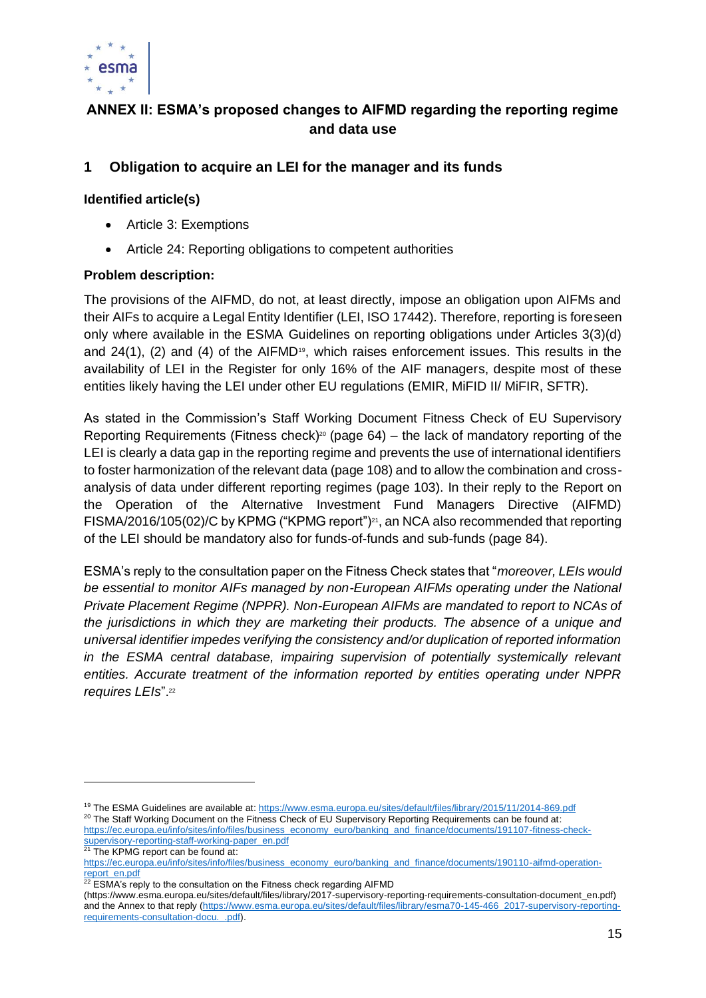

# **ANNEX II: ESMA's proposed changes to AIFMD regarding the reporting regime and data use**

# **1 Obligation to acquire an LEI for the manager and its funds**

### **Identified article(s)**

- Article 3: Exemptions
- Article 24: Reporting obligations to competent authorities

### **Problem description:**

The provisions of the AIFMD, do not, at least directly, impose an obligation upon AIFMs and their AIFs to acquire a Legal Entity Identifier (LEI, ISO 17442). Therefore, reporting is foreseen only where available in the ESMA Guidelines on reporting obligations under Articles 3(3)(d) and  $24(1)$ , (2) and (4) of the AIFMD<sup>19</sup>, which raises enforcement issues. This results in the availability of LEI in the Register for only 16% of the AIF managers, despite most of these entities likely having the LEI under other EU regulations (EMIR, MiFID II/ MiFIR, SFTR).

As stated in the Commission's Staff Working Document Fitness Check of EU Supervisory Reporting Requirements (Fitness check)<sup>20</sup> (page  $64$ ) – the lack of mandatory reporting of the LEI is clearly a data gap in the reporting regime and prevents the use of international identifiers to foster harmonization of the relevant data (page 108) and to allow the combination and crossanalysis of data under different reporting regimes (page 103). In their reply to the Report on the Operation of the Alternative Investment Fund Managers Directive (AIFMD) FISMA/2016/105(02)/C by KPMG ("KPMG report")<sup>21</sup>, an NCA also recommended that reporting of the LEI should be mandatory also for funds-of-funds and sub-funds (page 84).

ESMA's reply to the consultation paper on the Fitness Check states that "*moreover, LEIs would be essential to monitor AIFs managed by non-European AIFMs operating under the National Private Placement Regime (NPPR). Non-European AIFMs are mandated to report to NCAs of the jurisdictions in which they are marketing their products. The absence of a unique and universal identifier impedes verifying the consistency and/or duplication of reported information in the ESMA central database, impairing supervision of potentially systemically relevant entities. Accurate treatment of the information reported by entities operating under NPPR requires LEIs*".<sup>22</sup>

<sup>&</sup>lt;sup>19</sup> The ESMA Guidelines are available at: <https://www.esma.europa.eu/sites/default/files/library/2015/11/2014-869.pdf> <sup>20</sup> The Staff Working Document on the Fitness Check of EU Supervisory Reporting Requirements can be found at: [https://ec.europa.eu/info/sites/info/files/business\\_economy\\_euro/banking\\_and\\_finance/documents/191107-fitness-check](https://ec.europa.eu/info/sites/info/files/business_economy_euro/banking_and_finance/documents/191107-fitness-check-supervisory-reporting-staff-working-paper_en.pdf)[supervisory-reporting-staff-working-paper\\_en.pdf](https://ec.europa.eu/info/sites/info/files/business_economy_euro/banking_and_finance/documents/191107-fitness-check-supervisory-reporting-staff-working-paper_en.pdf)

<sup>&</sup>lt;sup>21</sup> The KPMG report can be found at:

[https://ec.europa.eu/info/sites/info/files/business\\_economy\\_euro/banking\\_and\\_finance/documents/190110-aifmd-operation](https://ec.europa.eu/info/sites/info/files/business_economy_euro/banking_and_finance/documents/190110-aifmd-operation-report_en.pdf)[report\\_en.pdf](https://ec.europa.eu/info/sites/info/files/business_economy_euro/banking_and_finance/documents/190110-aifmd-operation-report_en.pdf)

 $22$  ESMA's reply to the consultation on the Fitness check regarding AIFMD

<sup>(</sup>https://www.esma.europa.eu/sites/default/files/library/2017-supervisory-reporting-requirements-consultation-document\_en.pdf) and the Annex to that reply [\(https://www.esma.europa.eu/sites/default/files/library/esma70-145-466\\_2017-supervisory-reporting](https://www.esma.europa.eu/sites/default/files/library/esma70-145-466_2017-supervisory-reporting-requirements-consultation-docu._.pdf)[requirements-consultation-docu.\\_.pdf\)](https://www.esma.europa.eu/sites/default/files/library/esma70-145-466_2017-supervisory-reporting-requirements-consultation-docu._.pdf).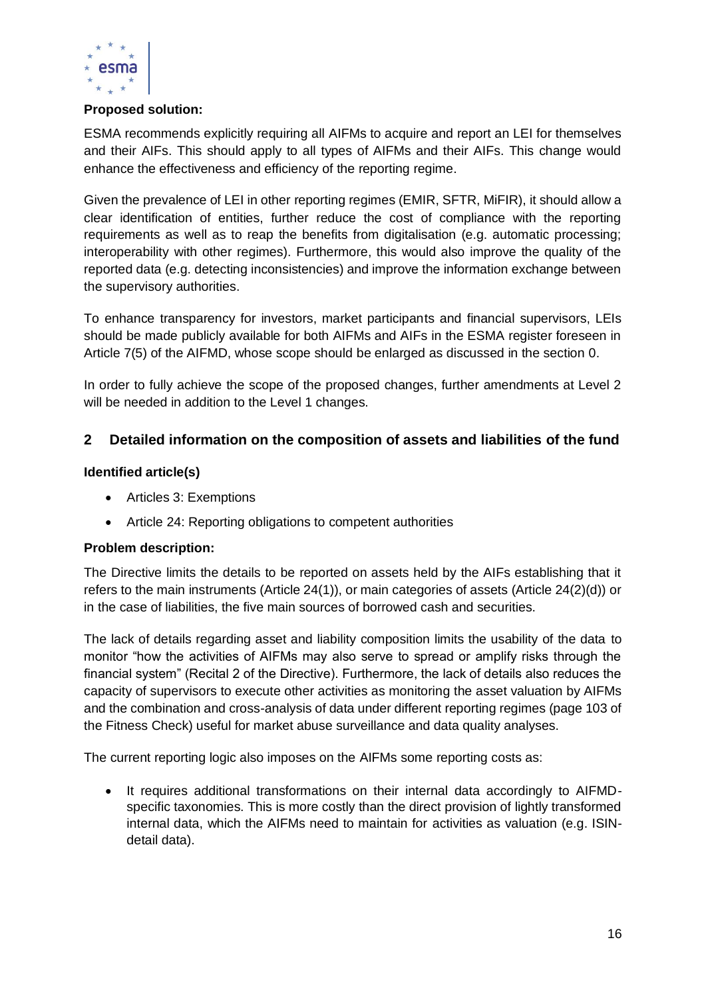

### **Proposed solution:**

ESMA recommends explicitly requiring all AIFMs to acquire and report an LEI for themselves and their AIFs. This should apply to all types of AIFMs and their AIFs. This change would enhance the effectiveness and efficiency of the reporting regime.

Given the prevalence of LEI in other reporting regimes (EMIR, SFTR, MiFIR), it should allow a clear identification of entities, further reduce the cost of compliance with the reporting requirements as well as to reap the benefits from digitalisation (e.g. automatic processing; interoperability with other regimes). Furthermore, this would also improve the quality of the reported data (e.g. detecting inconsistencies) and improve the information exchange between the supervisory authorities.

To enhance transparency for investors, market participants and financial supervisors, LEIs should be made publicly available for both AIFMs and AIFs in the ESMA register foreseen in Article 7(5) of the AIFMD, whose scope should be enlarged as discussed in the section [0.](#page-19-0)

In order to fully achieve the scope of the proposed changes, further amendments at Level 2 will be needed in addition to the Level 1 changes.

# **2 Detailed information on the composition of assets and liabilities of the fund**

### **Identified article(s)**

- Articles 3: Exemptions
- Article 24: Reporting obligations to competent authorities

### **Problem description:**

The Directive limits the details to be reported on assets held by the AIFs establishing that it refers to the main instruments (Article 24(1)), or main categories of assets (Article 24(2)(d)) or in the case of liabilities, the five main sources of borrowed cash and securities.

The lack of details regarding asset and liability composition limits the usability of the data to monitor "how the activities of AIFMs may also serve to spread or amplify risks through the financial system" (Recital 2 of the Directive). Furthermore, the lack of details also reduces the capacity of supervisors to execute other activities as monitoring the asset valuation by AIFMs and the combination and cross-analysis of data under different reporting regimes (page 103 of the Fitness Check) useful for market abuse surveillance and data quality analyses.

The current reporting logic also imposes on the AIFMs some reporting costs as:

• It requires additional transformations on their internal data accordingly to AIFMDspecific taxonomies. This is more costly than the direct provision of lightly transformed internal data, which the AIFMs need to maintain for activities as valuation (e.g. ISINdetail data).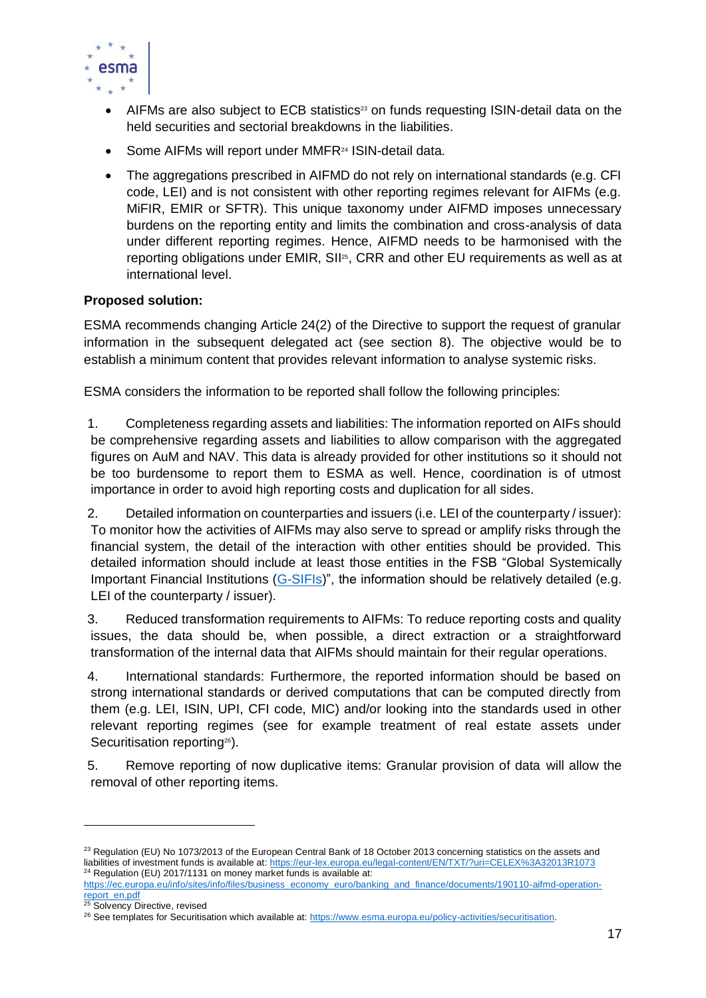

- AIFMs are also subject to ECB statistics<sup>23</sup> on funds requesting ISIN-detail data on the held securities and sectorial breakdowns in the liabilities.
- Some AIFMs will report under MMFR<sup>24</sup> ISIN-detail data.
- The aggregations prescribed in AIFMD do not rely on international standards (e.g. CFI) code, LEI) and is not consistent with other reporting regimes relevant for AIFMs (e.g. MiFIR, EMIR or SFTR). This unique taxonomy under AIFMD imposes unnecessary burdens on the reporting entity and limits the combination and cross-analysis of data under different reporting regimes. Hence, AIFMD needs to be harmonised with the reporting obligations under EMIR, SII<sup>25</sup>, CRR and other EU requirements as well as at international level.

# **Proposed solution:**

ESMA recommends changing Article 24(2) of the Directive to support the request of granular information in the subsequent delegated act (see section [8\)](#page-22-0). The objective would be to establish a minimum content that provides relevant information to analyse systemic risks.

ESMA considers the information to be reported shall follow the following principles:

1. Completeness regarding assets and liabilities: The information reported on AIFs should be comprehensive regarding assets and liabilities to allow comparison with the aggregated figures on AuM and NAV. This data is already provided for other institutions so it should not be too burdensome to report them to ESMA as well. Hence, coordination is of utmost importance in order to avoid high reporting costs and duplication for all sides.

2. Detailed information on counterparties and issuers (i.e. LEI of the counterparty / issuer): To monitor how the activities of AIFMs may also serve to spread or amplify risks through the financial system, the detail of the interaction with other entities should be provided. This detailed information should include at least those entities in the FSB "Global Systemically Important Financial Institutions [\(G-SIFIs\)](https://www.fsb.org/work-of-the-fsb/policy-development/addressing-sifis/global-systemically-important-financial-institutions-g-sifis/)", the information should be relatively detailed (e.g. LEI of the counterparty / issuer).

3. Reduced transformation requirements to AIFMs: To reduce reporting costs and quality issues, the data should be, when possible, a direct extraction or a straightforward transformation of the internal data that AIFMs should maintain for their regular operations.

4. International standards: Furthermore, the reported information should be based on strong international standards or derived computations that can be computed directly from them (e.g. LEI, ISIN, UPI, CFI code, MIC) and/or looking into the standards used in other relevant reporting regimes (see for example treatment of real estate assets under Securitisation reporting<sup>26</sup>).

5. Remove reporting of now duplicative items: Granular provision of data will allow the removal of other reporting items.

 $^{23}$  Regulation (EU) No 1073/2013 of the European Central Bank of 18 October 2013 concerning statistics on the assets and liabilities of investment funds is available at: <https://eur-lex.europa.eu/legal-content/EN/TXT/?uri=CELEX%3A32013R1073>  $24$  Regulation (EU) 2017/1131 on money market funds is available at:

[https://ec.europa.eu/info/sites/info/files/business\\_economy\\_euro/banking\\_and\\_finance/documents/190110-aifmd-operation](https://ec.europa.eu/info/sites/info/files/business_economy_euro/banking_and_finance/documents/190110-aifmd-operation-report_en.pdf)[report\\_en.pdf](https://ec.europa.eu/info/sites/info/files/business_economy_euro/banking_and_finance/documents/190110-aifmd-operation-report_en.pdf)

Solvency Directive, revised

<sup>&</sup>lt;sup>26</sup> See templates for Securitisation which available at: [https://www.esma.europa.eu/policy-activities/securitisation.](https://www.esma.europa.eu/policy-activities/securitisation)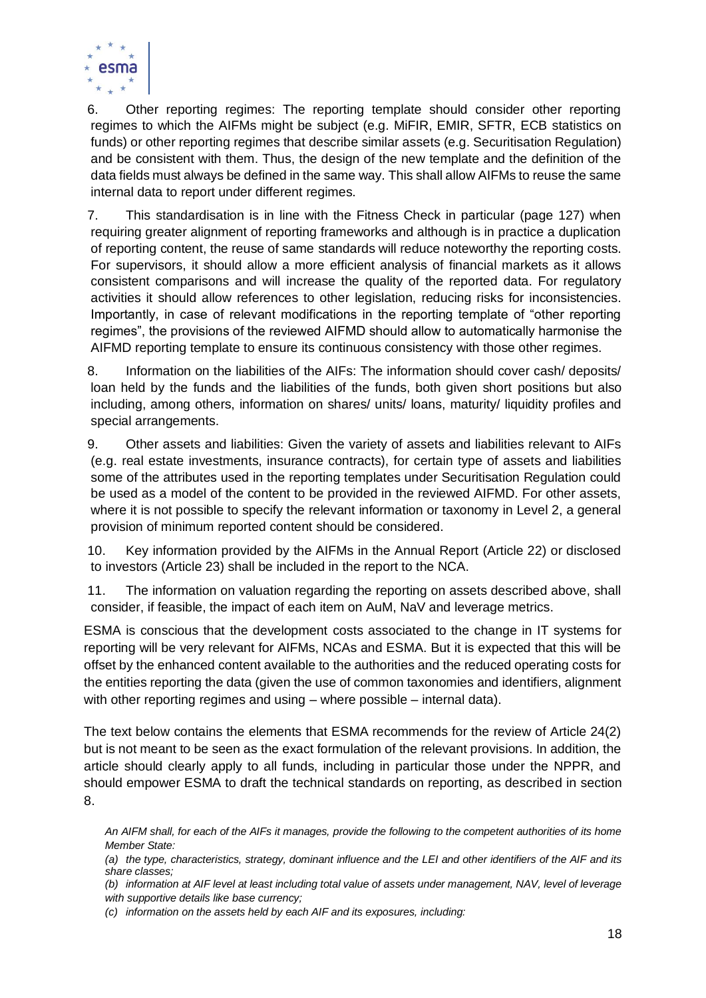

6. Other reporting regimes: The reporting template should consider other reporting regimes to which the AIFMs might be subject (e.g. MiFIR, EMIR, SFTR, ECB statistics on funds) or other reporting regimes that describe similar assets (e.g. Securitisation Regulation) and be consistent with them. Thus, the design of the new template and the definition of the data fields must always be defined in the same way. This shall allow AIFMs to reuse the same internal data to report under different regimes.

7. This standardisation is in line with the Fitness Check in particular (page 127) when requiring greater alignment of reporting frameworks and although is in practice a duplication of reporting content, the reuse of same standards will reduce noteworthy the reporting costs. For supervisors, it should allow a more efficient analysis of financial markets as it allows consistent comparisons and will increase the quality of the reported data. For regulatory activities it should allow references to other legislation, reducing risks for inconsistencies. Importantly, in case of relevant modifications in the reporting template of "other reporting regimes", the provisions of the reviewed AIFMD should allow to automatically harmonise the AIFMD reporting template to ensure its continuous consistency with those other regimes.

8. Information on the liabilities of the AIFs: The information should cover cash/ deposits/ loan held by the funds and the liabilities of the funds, both given short positions but also including, among others, information on shares/ units/ loans, maturity/ liquidity profiles and special arrangements.

9. Other assets and liabilities: Given the variety of assets and liabilities relevant to AIFs (e.g. real estate investments, insurance contracts), for certain type of assets and liabilities some of the attributes used in the reporting templates under Securitisation Regulation could be used as a model of the content to be provided in the reviewed AIFMD. For other assets, where it is not possible to specify the relevant information or taxonomy in Level 2, a general provision of minimum reported content should be considered.

10. Key information provided by the AIFMs in the Annual Report (Article 22) or disclosed to investors (Article 23) shall be included in the report to the NCA.

11. The information on valuation regarding the reporting on assets described above, shall consider, if feasible, the impact of each item on AuM, NaV and leverage metrics.

ESMA is conscious that the development costs associated to the change in IT systems for reporting will be very relevant for AIFMs, NCAs and ESMA. But it is expected that this will be offset by the enhanced content available to the authorities and the reduced operating costs for the entities reporting the data (given the use of common taxonomies and identifiers, alignment with other reporting regimes and using – where possible – internal data).

The text below contains the elements that ESMA recommends for the review of Article 24(2) but is not meant to be seen as the exact formulation of the relevant provisions. In addition, the article should clearly apply to all funds, including in particular those under the NPPR, and should empower ESMA to draft the technical standards on reporting, as described in section [8.](#page-22-0)

*An AIFM shall, for each of the AIFs it manages, provide the following to the competent authorities of its home Member State:*

*(a) the type, characteristics, strategy, dominant influence and the LEI and other identifiers of the AIF and its share classes;* 

*(b) information at AIF level at least including total value of assets under management, NAV, level of leverage with supportive details like base currency;*

*(c) information on the assets held by each AIF and its exposures, including:*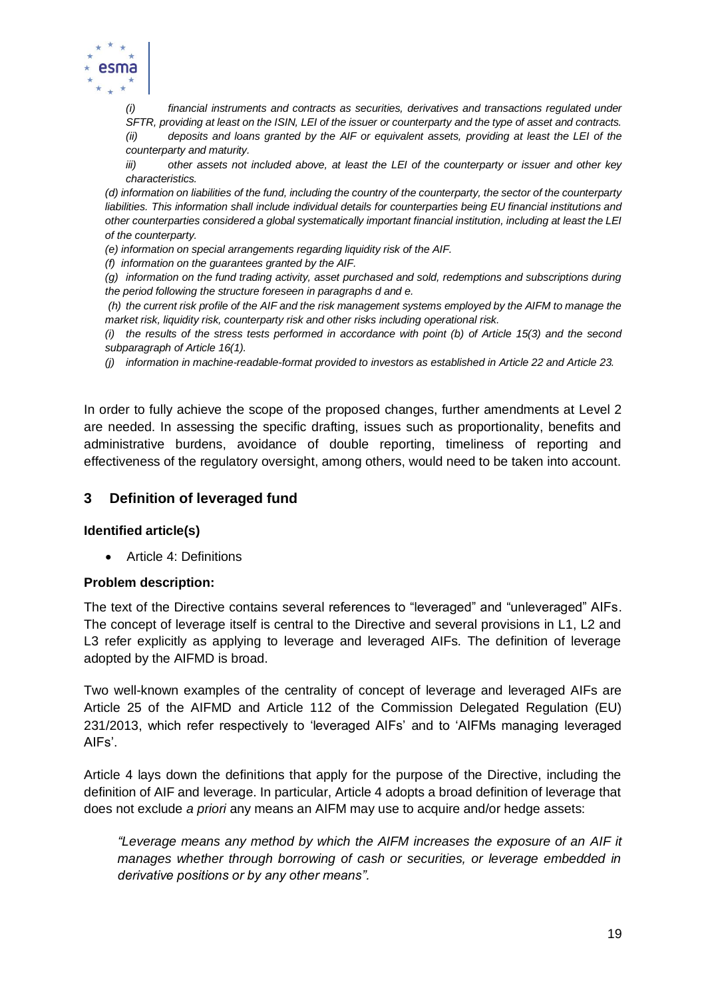

*(i) financial instruments and contracts as securities, derivatives and transactions regulated under SFTR, providing at least on the ISIN, LEI of the issuer or counterparty and the type of asset and contracts.*

*(ii) deposits and loans granted by the AIF or equivalent assets, providing at least the LEI of the counterparty and maturity.* 

*iii) other assets not included above, at least the LEI of the counterparty or issuer and other key characteristics.*

*(d) information on liabilities of the fund, including the country of the counterparty, the sector of the counterparty liabilities. This information shall include individual details for counterparties being EU financial institutions and other counterparties considered a global systematically important financial institution, including at least the LEI of the counterparty.* 

*(e) information on special arrangements regarding liquidity risk of the AIF.*

*(f) information on the guarantees granted by the AIF.*

*(g) information on the fund trading activity, asset purchased and sold, redemptions and subscriptions during the period following the structure foreseen in paragraphs d and e.*

*(h) the current risk profile of the AIF and the risk management systems employed by the AIFM to manage the market risk, liquidity risk, counterparty risk and other risks including operational risk.*

*(i) the results of the stress tests performed in accordance with point (b) of Article 15(3) and the second subparagraph of Article 16(1).*

*(j) information in machine-readable-format provided to investors as established in Article 22 and Article 23.*

In order to fully achieve the scope of the proposed changes, further amendments at Level 2 are needed. In assessing the specific drafting, issues such as proportionality, benefits and administrative burdens, avoidance of double reporting, timeliness of reporting and effectiveness of the regulatory oversight, among others, would need to be taken into account.

### **3 Definition of leveraged fund**

### **Identified article(s)**

• Article 4: Definitions

#### **Problem description:**

The text of the Directive contains several references to "leveraged" and "unleveraged" AIFs. The concept of leverage itself is central to the Directive and several provisions in L1, L2 and L3 refer explicitly as applying to leverage and leveraged AIFs. The definition of leverage adopted by the AIFMD is broad.

Two well-known examples of the centrality of concept of leverage and leveraged AIFs are Article 25 of the AIFMD and Article 112 of the Commission Delegated Regulation (EU) 231/2013, which refer respectively to 'leveraged AIFs' and to 'AIFMs managing leveraged AIFs'.

Article 4 lays down the definitions that apply for the purpose of the Directive, including the definition of AIF and leverage. In particular, Article 4 adopts a broad definition of leverage that does not exclude *a priori* any means an AIFM may use to acquire and/or hedge assets:

*"Leverage means any method by which the AIFM increases the exposure of an AIF it manages whether through borrowing of cash or securities, or leverage embedded in derivative positions or by any other means".*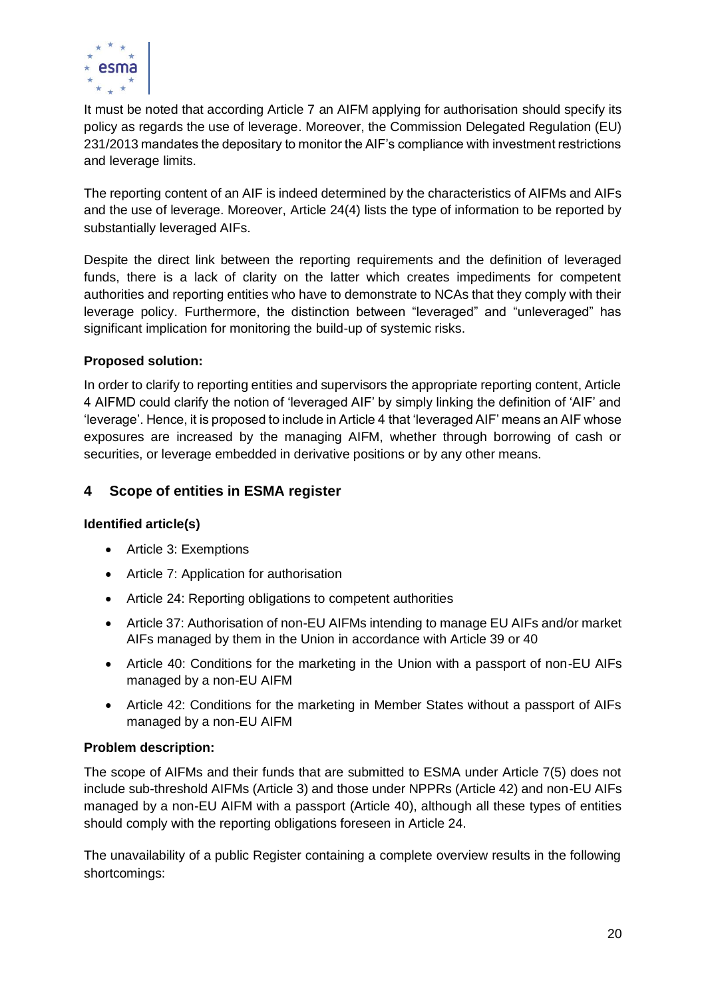

It must be noted that according Article 7 an AIFM applying for authorisation should specify its policy as regards the use of leverage. Moreover, the Commission Delegated Regulation (EU) 231/2013 mandates the depositary to monitor the AIF's compliance with investment restrictions and leverage limits.

The reporting content of an AIF is indeed determined by the characteristics of AIFMs and AIFs and the use of leverage. Moreover, Article 24(4) lists the type of information to be reported by substantially leveraged AIFs.

Despite the direct link between the reporting requirements and the definition of leveraged funds, there is a lack of clarity on the latter which creates impediments for competent authorities and reporting entities who have to demonstrate to NCAs that they comply with their leverage policy. Furthermore, the distinction between "leveraged" and "unleveraged" has significant implication for monitoring the build-up of systemic risks.

# **Proposed solution:**

In order to clarify to reporting entities and supervisors the appropriate reporting content, Article 4 AIFMD could clarify the notion of 'leveraged AIF' by simply linking the definition of 'AIF' and 'leverage'. Hence, it is proposed to include in Article 4 that 'leveraged AIF' means an AIF whose exposures are increased by the managing AIFM, whether through borrowing of cash or securities, or leverage embedded in derivative positions or by any other means.

# **4 Scope of entities in ESMA register**

# **Identified article(s)**

- <span id="page-19-0"></span>• Article 3: Exemptions
- Article 7: Application for authorisation
- Article 24: Reporting obligations to competent authorities
- Article 37: Authorisation of non-EU AIFMs intending to manage EU AIFs and/or market AIFs managed by them in the Union in accordance with Article 39 or 40
- Article 40: Conditions for the marketing in the Union with a passport of non-EU AIFs managed by a non-EU AIFM
- Article 42: Conditions for the marketing in Member States without a passport of AIFs managed by a non-EU AIFM

# **Problem description:**

The scope of AIFMs and their funds that are submitted to ESMA under Article 7(5) does not include sub-threshold AIFMs (Article 3) and those under NPPRs (Article 42) and non-EU AIFs managed by a non-EU AIFM with a passport (Article 40), although all these types of entities should comply with the reporting obligations foreseen in Article 24.

The unavailability of a public Register containing a complete overview results in the following shortcomings: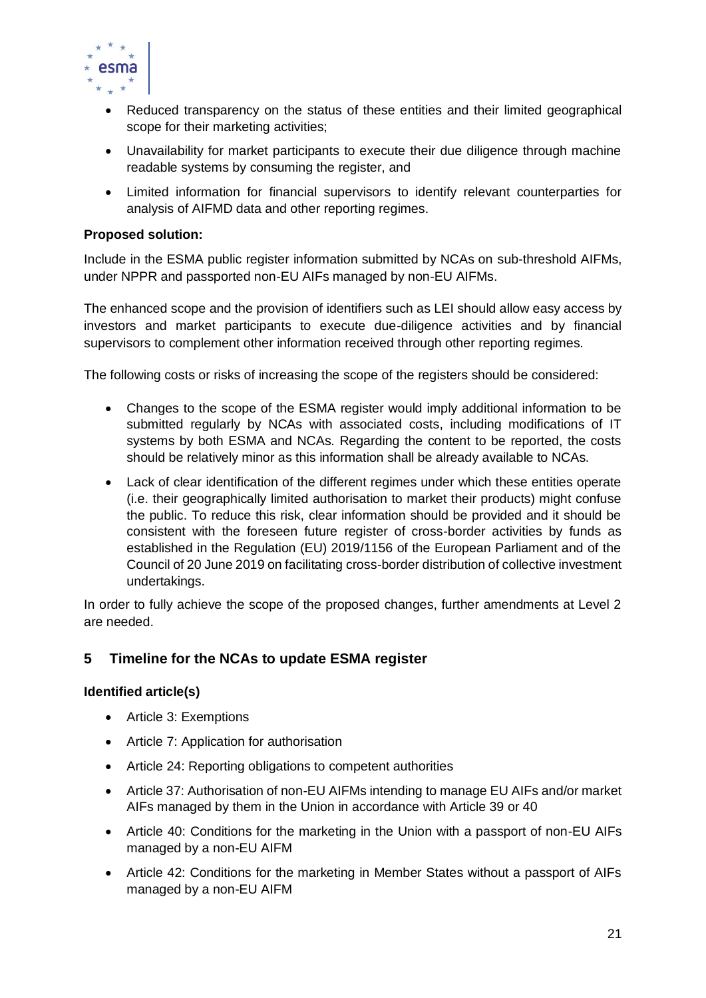

- Reduced transparency on the status of these entities and their limited geographical scope for their marketing activities;
- Unavailability for market participants to execute their due diligence through machine readable systems by consuming the register, and
- Limited information for financial supervisors to identify relevant counterparties for analysis of AIFMD data and other reporting regimes.

### **Proposed solution:**

Include in the ESMA public register information submitted by NCAs on sub-threshold AIFMs, under NPPR and passported non-EU AIFs managed by non-EU AIFMs.

The enhanced scope and the provision of identifiers such as LEI should allow easy access by investors and market participants to execute due-diligence activities and by financial supervisors to complement other information received through other reporting regimes.

The following costs or risks of increasing the scope of the registers should be considered:

- Changes to the scope of the ESMA register would imply additional information to be submitted regularly by NCAs with associated costs, including modifications of IT systems by both ESMA and NCAs. Regarding the content to be reported, the costs should be relatively minor as this information shall be already available to NCAs.
- Lack of clear identification of the different regimes under which these entities operate (i.e. their geographically limited authorisation to market their products) might confuse the public. To reduce this risk, clear information should be provided and it should be consistent with the foreseen future register of cross-border activities by funds as established in the Regulation (EU) 2019/1156 of the European Parliament and of the Council of 20 June 2019 on facilitating cross-border distribution of collective investment undertakings.

In order to fully achieve the scope of the proposed changes, further amendments at Level 2 are needed.

# **5 Timeline for the NCAs to update ESMA register**

# **Identified article(s)**

- Article 3: Exemptions
- Article 7: Application for authorisation
- Article 24: Reporting obligations to competent authorities
- Article 37: Authorisation of non-EU AIFMs intending to manage EU AIFs and/or market AIFs managed by them in the Union in accordance with Article 39 or 40
- Article 40: Conditions for the marketing in the Union with a passport of non-EU AIFs managed by a non-EU AIFM
- Article 42: Conditions for the marketing in Member States without a passport of AIFs managed by a non-EU AIFM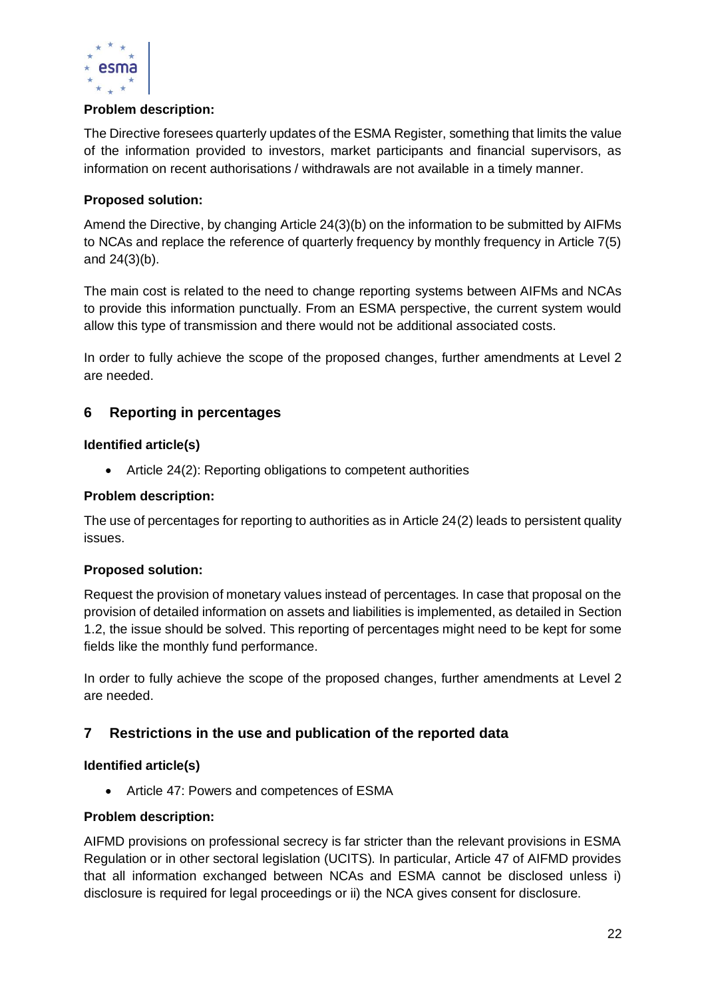

# **Problem description:**

The Directive foresees quarterly updates of the ESMA Register, something that limits the value of the information provided to investors, market participants and financial supervisors, as information on recent authorisations / withdrawals are not available in a timely manner.

### **Proposed solution:**

Amend the Directive, by changing Article 24(3)(b) on the information to be submitted by AIFMs to NCAs and replace the reference of quarterly frequency by monthly frequency in Article 7(5) and 24(3)(b).

The main cost is related to the need to change reporting systems between AIFMs and NCAs to provide this information punctually. From an ESMA perspective, the current system would allow this type of transmission and there would not be additional associated costs.

In order to fully achieve the scope of the proposed changes, further amendments at Level 2 are needed.

# **6 Reporting in percentages**

### **Identified article(s)**

• Article 24(2): Reporting obligations to competent authorities

### **Problem description:**

The use of percentages for reporting to authorities as in Article 24(2) leads to persistent quality issues.

### **Proposed solution:**

Request the provision of monetary values instead of percentages. In case that proposal on the provision of detailed information on assets and liabilities is implemented, as detailed in Section 1.2, the issue should be solved. This reporting of percentages might need to be kept for some fields like the monthly fund performance.

In order to fully achieve the scope of the proposed changes, further amendments at Level 2 are needed.

# **7 Restrictions in the use and publication of the reported data**

### **Identified article(s)**

• Article 47: Powers and competences of ESMA

### **Problem description:**

AIFMD provisions on professional secrecy is far stricter than the relevant provisions in ESMA Regulation or in other sectoral legislation (UCITS). In particular, Article 47 of AIFMD provides that all information exchanged between NCAs and ESMA cannot be disclosed unless i) disclosure is required for legal proceedings or ii) the NCA gives consent for disclosure.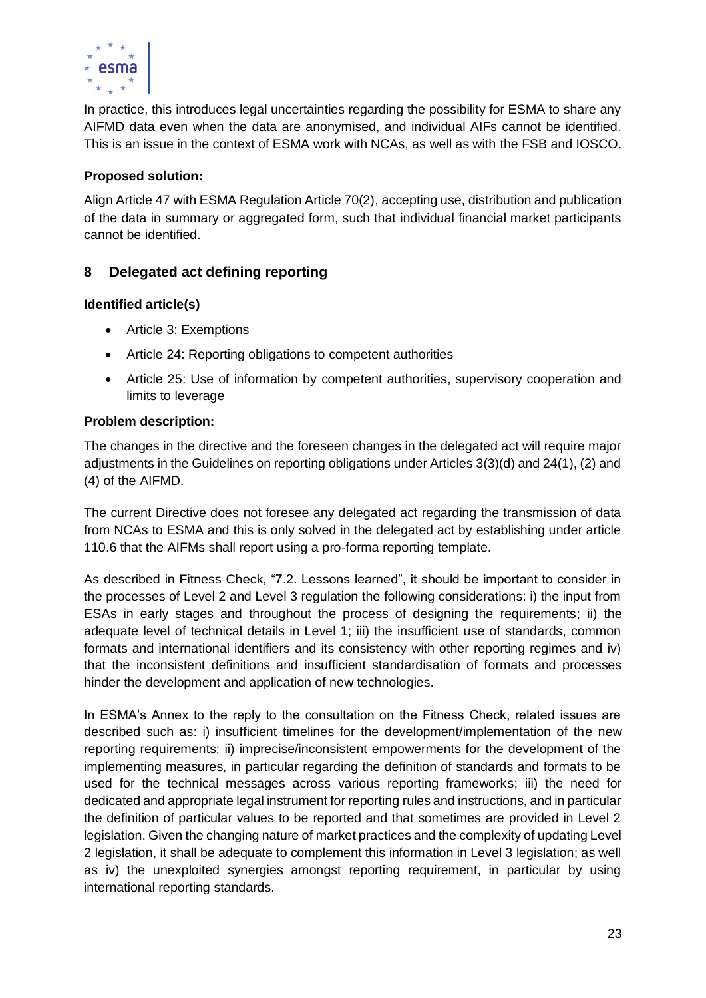

In practice, this introduces legal uncertainties regarding the possibility for ESMA to share any AIFMD data even when the data are anonymised, and individual AIFs cannot be identified. This is an issue in the context of ESMA work with NCAs, as well as with the FSB and IOSCO.

# **Proposed solution:**

Align Article 47 with ESMA Regulation Article 70(2), accepting use, distribution and publication of the data in summary or aggregated form, such that individual financial market participants cannot be identified.

# <span id="page-22-0"></span>**8 Delegated act defining reporting**

# **Identified article(s)**

- Article 3: Exemptions
- Article 24: Reporting obligations to competent authorities
- Article 25: Use of information by competent authorities, supervisory cooperation and limits to leverage

# **Problem description:**

The changes in the directive and the foreseen changes in the delegated act will require major adjustments in the Guidelines on reporting obligations under Articles 3(3)(d) and 24(1), (2) and (4) of the AIFMD.

The current Directive does not foresee any delegated act regarding the transmission of data from NCAs to ESMA and this is only solved in the delegated act by establishing under article 110.6 that the AIFMs shall report using a pro-forma reporting template.

As described in Fitness Check, "7.2. Lessons learned", it should be important to consider in the processes of Level 2 and Level 3 regulation the following considerations: i) the input from ESAs in early stages and throughout the process of designing the requirements; ii) the adequate level of technical details in Level 1; iii) the insufficient use of standards, common formats and international identifiers and its consistency with other reporting regimes and iv) that the inconsistent definitions and insufficient standardisation of formats and processes hinder the development and application of new technologies.

In ESMA's Annex to the reply to the consultation on the Fitness Check, related issues are described such as: i) insufficient timelines for the development/implementation of the new reporting requirements; ii) imprecise/inconsistent empowerments for the development of the implementing measures, in particular regarding the definition of standards and formats to be used for the technical messages across various reporting frameworks; iii) the need for dedicated and appropriate legal instrument for reporting rules and instructions, and in particular the definition of particular values to be reported and that sometimes are provided in Level 2 legislation. Given the changing nature of market practices and the complexity of updating Level 2 legislation, it shall be adequate to complement this information in Level 3 legislation; as well as iv) the unexploited synergies amongst reporting requirement, in particular by using international reporting standards.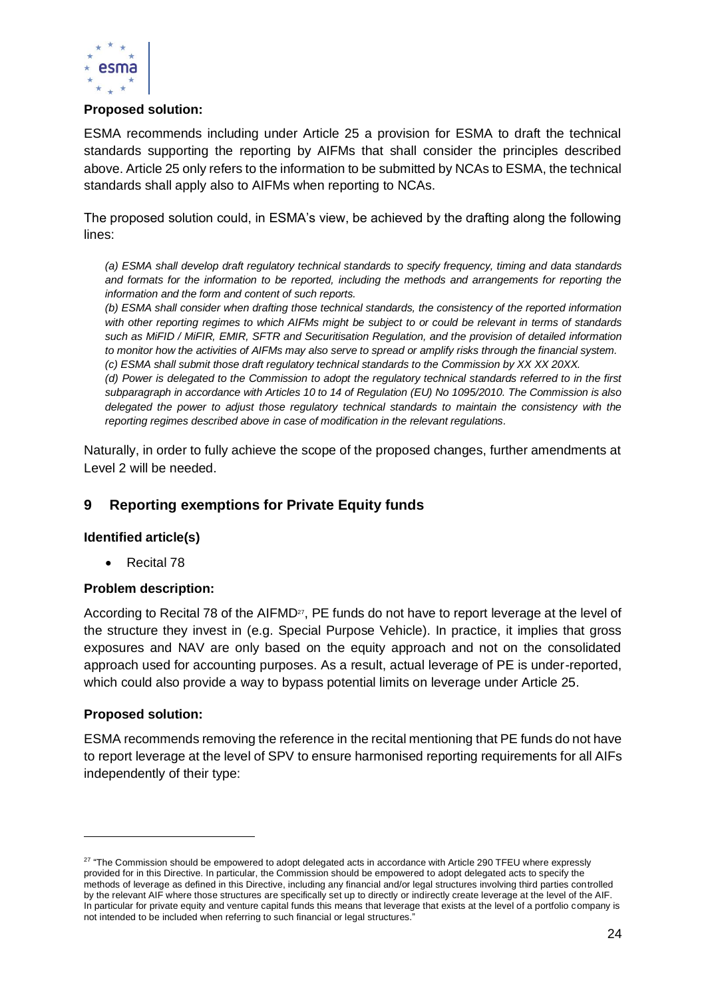

### **Proposed solution:**

ESMA recommends including under Article 25 a provision for ESMA to draft the technical standards supporting the reporting by AIFMs that shall consider the principles described above. Article 25 only refers to the information to be submitted by NCAs to ESMA, the technical standards shall apply also to AIFMs when reporting to NCAs.

The proposed solution could, in ESMA's view, be achieved by the drafting along the following lines:

*(a) ESMA shall develop draft regulatory technical standards to specify frequency, timing and data standards and formats for the information to be reported, including the methods and arrangements for reporting the information and the form and content of such reports.*

*(b) ESMA shall consider when drafting those technical standards, the consistency of the reported information with other reporting regimes to which AIFMs might be subject to or could be relevant in terms of standards such as MiFID / MiFIR, EMIR, SFTR and Securitisation Regulation, and the provision of detailed information to monitor how the activities of AIFMs may also serve to spread or amplify risks through the financial system. (c) ESMA shall submit those draft regulatory technical standards to the Commission by XX XX 20XX.*

*(d) Power is delegated to the Commission to adopt the regulatory technical standards referred to in the first subparagraph in accordance with Articles 10 to 14 of Regulation (EU) No 1095/2010. The Commission is also delegated the power to adjust those regulatory technical standards to maintain the consistency with the reporting regimes described above in case of modification in the relevant regulations.*

Naturally, in order to fully achieve the scope of the proposed changes, further amendments at Level 2 will be needed.

# **9 Reporting exemptions for Private Equity funds**

### **Identified article(s)**

• Recital 78

### **Problem description:**

According to Recital 78 of the AIFMD<sup>27</sup>, PE funds do not have to report leverage at the level of the structure they invest in (e.g. Special Purpose Vehicle). In practice, it implies that gross exposures and NAV are only based on the equity approach and not on the consolidated approach used for accounting purposes. As a result, actual leverage of PE is under-reported, which could also provide a way to bypass potential limits on leverage under Article 25.

### **Proposed solution:**

ESMA recommends removing the reference in the recital mentioning that PE funds do not have to report leverage at the level of SPV to ensure harmonised reporting requirements for all AIFs independently of their type:

 $^{27}$  "The Commission should be empowered to adopt delegated acts in accordance with Article 290 TFEU where expressly provided for in this Directive. In particular, the Commission should be empowered to adopt delegated acts to specify the methods of leverage as defined in this Directive, including any financial and/or legal structures involving third parties controlled by the relevant AIF where those structures are specifically set up to directly or indirectly create leverage at the level of the AIF. In particular for private equity and venture capital funds this means that leverage that exists at the level of a portfolio company is not intended to be included when referring to such financial or legal structures."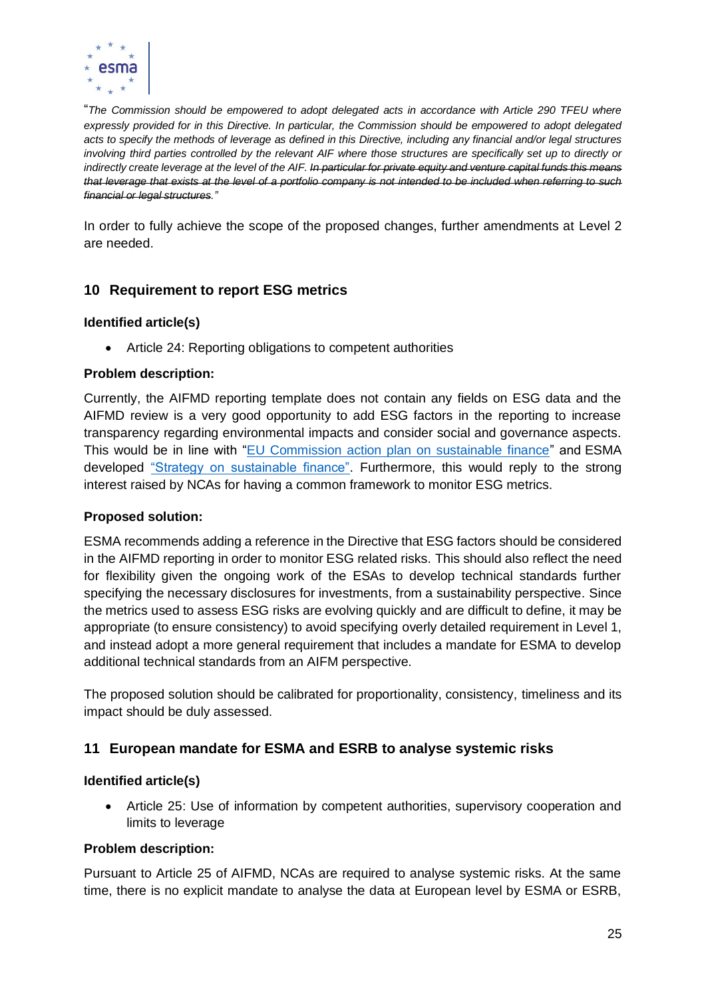

"*The Commission should be empowered to adopt delegated acts in accordance with Article 290 TFEU where expressly provided for in this Directive. In particular, the Commission should be empowered to adopt delegated acts to specify the methods of leverage as defined in this Directive, including any financial and/or legal structures involving third parties controlled by the relevant AIF where those structures are specifically set up to directly or indirectly create leverage at the level of the AIF. In particular for private equity and venture capital funds this means that leverage that exists at the level of a portfolio company is not intended to be included when referring to such financial or legal structures."*

In order to fully achieve the scope of the proposed changes, further amendments at Level 2 are needed.

# **10 Requirement to report ESG metrics**

### **Identified article(s)**

• Article 24: Reporting obligations to competent authorities

### **Problem description:**

Currently, the AIFMD reporting template does not contain any fields on ESG data and the AIFMD review is a very good opportunity to add ESG factors in the reporting to increase transparency regarding environmental impacts and consider social and governance aspects. This would be in line with ["EU Commission action plan on sustainable finance"](https://ec.europa.eu/info/business-economy-euro/banking-and-finance/sustainable-finance_en) and ESMA developed ["Strategy on sustainable finance".](https://www.esma.europa.eu/file/54544/download?token=SjcMcTA-) Furthermore, this would reply to the strong interest raised by NCAs for having a common framework to monitor ESG metrics.

### **Proposed solution:**

ESMA recommends adding a reference in the Directive that ESG factors should be considered in the AIFMD reporting in order to monitor ESG related risks. This should also reflect the need for flexibility given the ongoing work of the ESAs to develop technical standards further specifying the necessary disclosures for investments, from a sustainability perspective. Since the metrics used to assess ESG risks are evolving quickly and are difficult to define, it may be appropriate (to ensure consistency) to avoid specifying overly detailed requirement in Level 1, and instead adopt a more general requirement that includes a mandate for ESMA to develop additional technical standards from an AIFM perspective.

The proposed solution should be calibrated for proportionality, consistency, timeliness and its impact should be duly assessed.

# **11 European mandate for ESMA and ESRB to analyse systemic risks**

### **Identified article(s)**

• Article 25: Use of information by competent authorities, supervisory cooperation and limits to leverage

### **Problem description:**

Pursuant to Article 25 of AIFMD, NCAs are required to analyse systemic risks. At the same time, there is no explicit mandate to analyse the data at European level by ESMA or ESRB,